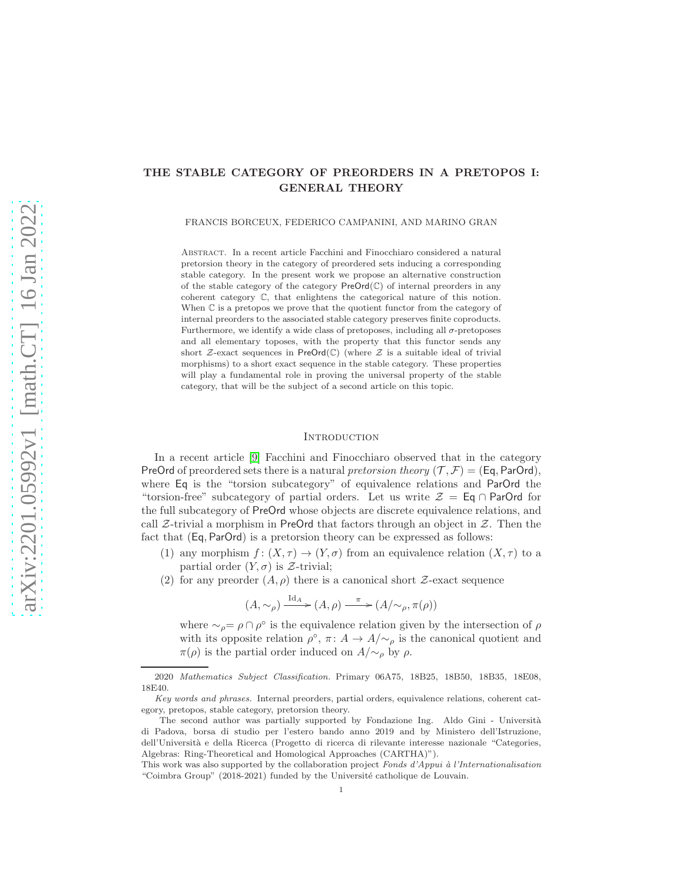# THE STABLE CATEGORY OF PREORDERS IN A PRETOPOS I: GENERAL THEORY

FRANCIS BORCEUX, FEDERICO CAMPANINI, AND MARINO GRAN

Abstract. In a recent article Facchini and Finocchiaro considered a natural pretorsion theory in the category of preordered sets inducing a corresponding stable category. In the present work we propose an alternative construction of the stable category of the category  $PreOrd(\mathbb{C})$  of internal preorders in any coherent category C, that enlightens the categorical nature of this notion. When  $\mathbb C$  is a pretopos we prove that the quotient functor from the category of internal preorders to the associated stable category preserves finite coproducts. Furthermore, we identify a wide class of pretoposes, including all  $\sigma$ -pretoposes and all elementary toposes, with the property that this functor sends any short  $\mathcal{Z}-$ exact sequences in PreOrd( $\mathbb{C}$ ) (where  $\mathcal Z$  is a suitable ideal of trivial morphisms) to a short exact sequence in the stable category. These properties will play a fundamental role in proving the universal property of the stable category, that will be the subject of a second article on this topic.

### **INTRODUCTION**

In a recent article [\[9\]](#page-34-0) Facchini and Finocchiaro observed that in the category PreOrd of preordered sets there is a natural pretorsion theory  $(\mathcal{T}, \mathcal{F}) = (Eq, ParOrd)$ , where Eq is the "torsion subcategory" of equivalence relations and ParOrd the "torsion-free" subcategory of partial orders. Let us write  $\mathcal{Z} = \mathsf{Eq} \cap \mathsf{ParOrd}$  for the full subcategory of PreOrd whose objects are discrete equivalence relations, and call  $\mathcal{Z}$ -trivial a morphism in PreOrd that factors through an object in  $\mathcal{Z}$ . Then the fact that (Eq, ParOrd) is a pretorsion theory can be expressed as follows:

- (1) any morphism  $f: (X, \tau) \to (Y, \sigma)$  from an equivalence relation  $(X, \tau)$  to a partial order  $(Y, \sigma)$  is  $\mathcal{Z}$ -trivial;
- (2) for any preorder  $(A, \rho)$  there is a canonical short  $\mathcal{Z}$ -exact sequence

$$
(A, \sim_{\rho}) \xrightarrow{\mathrm{Id}_A} (A, \rho) \xrightarrow{\pi} (A/\sim_{\rho}, \pi(\rho))
$$

where  $\sim_{\rho} = \rho \cap \rho^{\circ}$  is the equivalence relation given by the intersection of  $\rho$ with its opposite relation  $\rho^{\circ}$ ,  $\pi: A \to A/\sim_{\rho}$  is the canonical quotient and  $\pi(\rho)$  is the partial order induced on  $A/\sim_{\rho}$  by  $\rho$ .

<sup>2020</sup> Mathematics Subject Classification. Primary 06A75, 18B25, 18B50, 18B35, 18E08, 18E40.

Key words and phrases. Internal preorders, partial orders, equivalence relations, coherent category, pretopos, stable category, pretorsion theory.

The second author was partially supported by Fondazione Ing. Aldo Gini - Università di Padova, borsa di studio per l'estero bando anno 2019 and by Ministero dell'Istruzione, dell'Universit`a e della Ricerca (Progetto di ricerca di rilevante interesse nazionale "Categories, Algebras: Ring-Theoretical and Homological Approaches (CARTHA)").

This work was also supported by the collaboration project Fonds d'Appui à l'Internationalisation "Coimbra Group" (2018-2021) funded by the Université catholique de Louvain.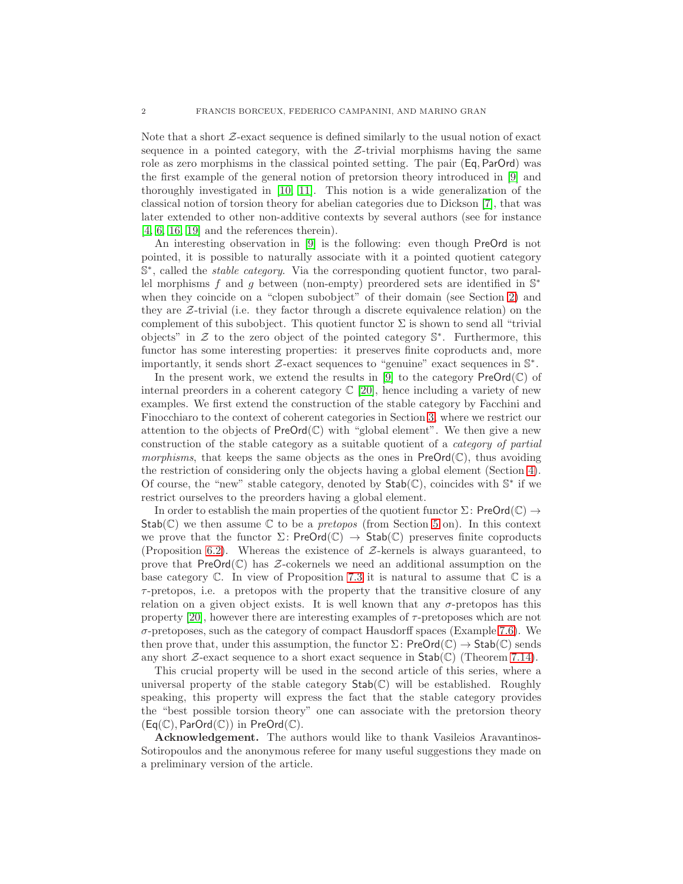Note that a short  $\mathcal{Z}-\text{exact}$  sequence is defined similarly to the usual notion of exact sequence in a pointed category, with the  $Z$ -trivial morphisms having the same role as zero morphisms in the classical pointed setting. The pair (Eq, ParOrd) was the first example of the general notion of pretorsion theory introduced in [\[9\]](#page-34-0) and thoroughly investigated in [\[10,](#page-34-1) [11\]](#page-34-2). This notion is a wide generalization of the classical notion of torsion theory for abelian categories due to Dickson [\[7\]](#page-34-3), that was later extended to other non-additive contexts by several authors (see for instance [\[4,](#page-34-4) [6,](#page-34-5) [16,](#page-34-6) [19\]](#page-34-7) and the references therein).

An interesting observation in [\[9\]](#page-34-0) is the following: even though PreOrd is not pointed, it is possible to naturally associate with it a pointed quotient category S<sup>\*</sup>, called the *stable category*. Via the corresponding quotient functor, two parallel morphisms f and g between (non-empty) preordered sets are identified in  $\mathbb{S}^*$ when they coincide on a "clopen subobject" of their domain (see Section [2\)](#page-5-0) and they are  $Z$ -trivial (i.e. they factor through a discrete equivalence relation) on the complement of this subobject. This quotient functor  $\Sigma$  is shown to send all "trivial" objects" in  $\mathcal Z$  to the zero object of the pointed category  $\mathbb S^*$ . Furthermore, this functor has some interesting properties: it preserves finite coproducts and, more importantly, it sends short  $\mathcal{Z}$ -exact sequences to "genuine" exact sequences in  $\mathbb{S}^*$ .

In the present work, we extend the results in [\[9\]](#page-34-0) to the category  $\text{PreOrd}(\mathbb{C})$  of internal preorders in a coherent category  $\mathbb{C}$  [\[20\]](#page-34-8), hence including a variety of new examples. We first extend the construction of the stable category by Facchini and Finocchiaro to the context of coherent categories in Section [3,](#page-7-0) where we restrict our attention to the objects of  $PreOrd(\mathbb{C})$  with "global element". We then give a new construction of the stable category as a suitable quotient of a category of partial morphisms, that keeps the same objects as the ones in  $PreOrd(\mathbb{C})$ , thus avoiding the restriction of considering only the objects having a global element (Section [4\)](#page-9-0). Of course, the "new" stable category, denoted by  $\mathsf{Stab}(\mathbb{C})$ , coincides with  $\mathbb{S}^*$  if we restrict ourselves to the preorders having a global element.

In order to establish the main properties of the quotient functor  $\Sigma$ : PreOrd( $\mathbb{C}$ )  $\rightarrow$  $Stab(\mathbb{C})$  we then assume  $\mathbb C$  to be a *pretopos* (from Section [5](#page-18-0) on). In this context we prove that the functor  $\Sigma$ : PreOrd( $\mathbb{C}$ )  $\rightarrow$  Stab( $\mathbb{C}$ ) preserves finite coproducts (Proposition [6.2\)](#page-23-0). Whereas the existence of  $Z$ -kernels is always guaranteed, to prove that  $PreOrd(\mathbb{C})$  has  $\mathcal{Z}\text{-coker}$  coles we need an additional assumption on the base category  $\mathbb C$ . In view of Proposition [7.3](#page-27-0) it is natural to assume that  $\mathbb C$  is a  $\tau$ -pretopos, i.e. a pretopos with the property that the transitive closure of any relation on a given object exists. It is well known that any  $\sigma$ -pretopos has this property [\[20\]](#page-34-8), however there are interesting examples of  $\tau$ -pretoposes which are not  $\sigma$ -pretoposes, such as the category of compact Hausdorff spaces (Example [7.6\)](#page-29-0). We then prove that, under this assumption, the functor  $\Sigma$ : PreOrd( $\mathbb{C}$ )  $\to$  Stab( $\mathbb{C}$ ) sends any short  $\mathcal{Z}$ -exact sequence to a short exact sequence in  $\mathsf{Stab}(\mathbb{C})$  (Theorem [7.14\)](#page-34-9).

This crucial property will be used in the second article of this series, where a universal property of the stable category  $\mathsf{Stab}(\mathbb{C})$  will be established. Roughly speaking, this property will express the fact that the stable category provides the "best possible torsion theory" one can associate with the pretorsion theory  $(Eq(\mathbb{C}), ParOrd(\mathbb{C}))$  in  $PreOrd(\mathbb{C}).$ 

Acknowledgement. The authors would like to thank Vasileios Aravantinos-Sotiropoulos and the anonymous referee for many useful suggestions they made on a preliminary version of the article.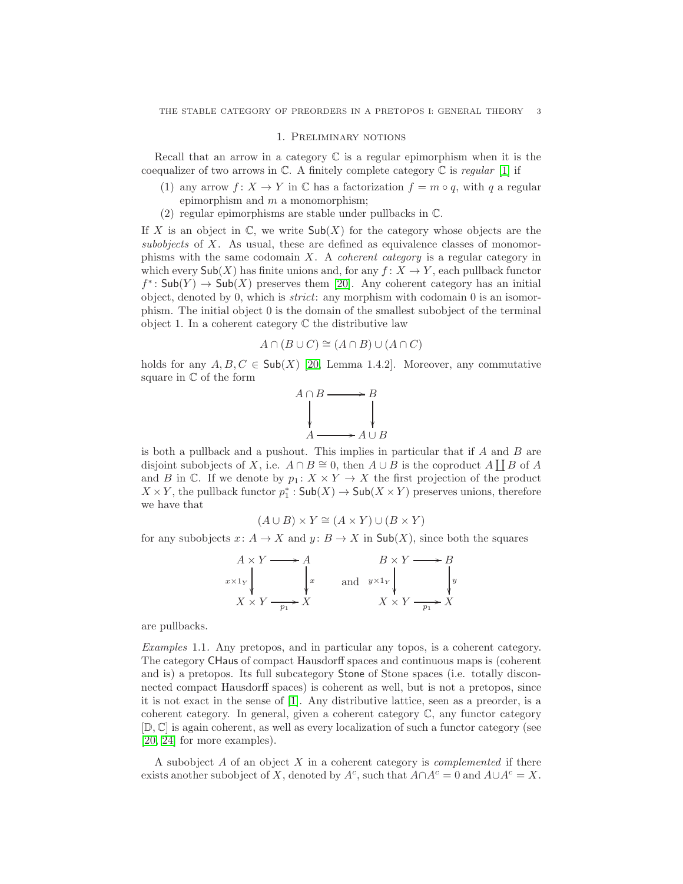### 1. Preliminary notions

Recall that an arrow in a category  $\mathbb C$  is a regular epimorphism when it is the coequalizer of two arrows in  $\mathbb{C}$ . A finitely complete category  $\mathbb{C}$  is regular [\[1\]](#page-34-10) if

- (1) any arrow  $f: X \to Y$  in  $\mathbb C$  has a factorization  $f = m \circ q$ , with q a regular epimorphism and  $m$  a monomorphism;
- (2) regular epimorphisms are stable under pullbacks in C.

If X is an object in  $\mathbb{C}$ , we write  $\mathsf{Sub}(X)$  for the category whose objects are the subobjects of X. As usual, these are defined as equivalence classes of monomorphisms with the same codomain  $X$ . A *coherent category* is a regular category in which every  $\mathsf{Sub}(X)$  has finite unions and, for any  $f: X \to Y$ , each pullback functor  $f^*$ :  $\mathsf{Sub}(Y) \to \mathsf{Sub}(X)$  preserves them [\[20\]](#page-34-8). Any coherent category has an initial object, denoted by 0, which is *strict*: any morphism with codomain 0 is an isomorphism. The initial object 0 is the domain of the smallest subobject of the terminal object 1. In a coherent category  $\mathbb C$  the distributive law

$$
A \cap (B \cup C) \cong (A \cap B) \cup (A \cap C)
$$

holds for any  $A, B, C \in Sub(X)$  [\[20,](#page-34-8) Lemma 1.4.2]. Moreover, any commutative square in C of the form



is both a pullback and a pushout. This implies in particular that if  $A$  and  $B$  are disjoint subobjects of X, i.e.  $A \cap B \cong 0$ , then  $A \cup B$  is the coproduct  $A \coprod B$  of A and B in  $\mathbb C$ . If we denote by  $p_1 \colon X \times Y \to X$  the first projection of the product  $X \times Y$ , the pullback functor  $p_1^* : Sub(X) \to Sub(X \times Y)$  preserves unions, therefore we have that

$$
(A \cup B) \times Y \cong (A \times Y) \cup (B \times Y)
$$

for any subobjects  $x: A \to X$  and  $y: B \to X$  in  $\mathsf{Sub}(X)$ , since both the squares

$$
A \times Y \longrightarrow A
$$
  
\n $x \times 1_Y$   
\n $X \times Y$   
\n $y$   
\n $X \times Y$   
\n $y$   
\n $Y \longrightarrow B$   
\nand  $y \times 1_Y$   
\n $X \times Y$   
\n $X \times Y$   
\n $y$   
\n $y$   
\n $Y \longrightarrow B$   
\n $y$   
\n $X \times Y$   
\n $y$ 

are pullbacks.

Examples 1.1. Any pretopos, and in particular any topos, is a coherent category. The category CHaus of compact Hausdorff spaces and continuous maps is (coherent and is) a pretopos. Its full subcategory Stone of Stone spaces (i.e. totally disconnected compact Hausdorff spaces) is coherent as well, but is not a pretopos, since it is not exact in the sense of [\[1\]](#page-34-10). Any distributive lattice, seen as a preorder, is a coherent category. In general, given a coherent category C, any functor category [D, C] is again coherent, as well as every localization of such a functor category (see [\[20,](#page-34-8) [24\]](#page-35-0) for more examples).

A subobject  $A$  of an object  $X$  in a coherent category is *complemented* if there exists another subobject of X, denoted by  $A^c$ , such that  $A \cap A^c = 0$  and  $A \cup A^c = X$ .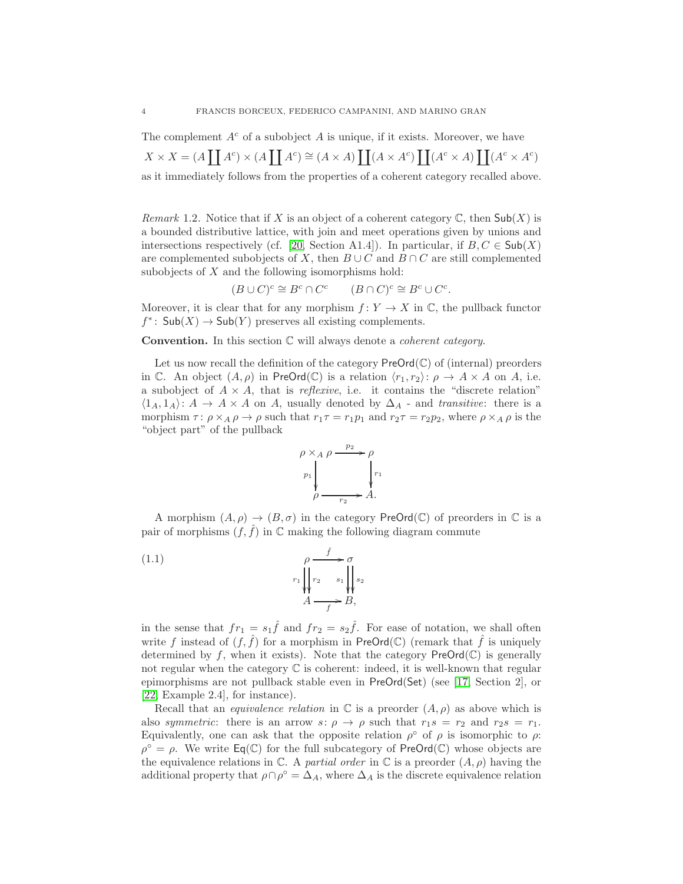The complement  $A^c$  of a subobject A is unique, if it exists. Moreover, we have  $X \times X = (A \coprod A^c) \times (A \coprod A^c) \cong (A \times A) \coprod (A \times A^c) \coprod (A^c \times A) \coprod (A^c \times A^c)$ as it immediately follows from the properties of a coherent category recalled above.

Remark 1.2. Notice that if X is an object of a coherent category  $\mathbb{C}$ , then Sub(X) is a bounded distributive lattice, with join and meet operations given by unions and intersections respectively (cf. [\[20,](#page-34-8) Section A1.4]). In particular, if  $B, C \in Sub(X)$ are complemented subobjects of X, then  $B \cup C$  and  $B \cap C$  are still complemented subobjects of  $X$  and the following isomorphisms hold:

$$
(B \cup C)^c \cong B^c \cap C^c \qquad (B \cap C)^c \cong B^c \cup C^c.
$$

Moreover, it is clear that for any morphism  $f: Y \to X$  in  $\mathbb{C}$ , the pullback functor  $f^*$ :  $\mathsf{Sub}(X) \to \mathsf{Sub}(Y)$  preserves all existing complements.

**Convention.** In this section  $\mathbb C$  will always denote a *coherent category*.

Let us now recall the definition of the category  $\mathsf{PreOrd}(\mathbb{C})$  of (internal) preorders in C. An object  $(A, \rho)$  in PreOrd(C) is a relation  $\langle r_1, r_2 \rangle$ :  $\rho \to A \times A$  on A, i.e. a subobject of  $A \times A$ , that is *reflexive*, i.e. it contains the "discrete relation"  $\langle 1_A, 1_A \rangle: A \to A \times A$  on A, usually denoted by  $\Delta_A$  - and transitive: there is a morphism  $\tau: \rho \times_A \rho \to \rho$  such that  $r_1\tau = r_1p_1$  and  $r_2\tau = r_2p_2$ , where  $\rho \times_A \rho$  is the "object part" of the pullback

<span id="page-3-0"></span>

A morphism  $(A, \rho) \to (B, \sigma)$  in the category PreOrd(C) of preorders in C is a pair of morphisms  $(f, \hat{f})$  in  $\mathbb C$  making the following diagram commute

(1.1) 
$$
\rho \xrightarrow{f} \sigma
$$

$$
r_1 \downarrow \qquad r_2 \qquad s_1 \downarrow \qquad s_2
$$

$$
A \xrightarrow{f} B,
$$

in the sense that  $fr_1 = s_1 \hat{f}$  and  $fr_2 = s_2 \hat{f}$ . For ease of notation, we shall often write f instead of  $(f, \hat{f})$  for a morphism in PreOrd(C) (remark that  $\hat{f}$  is uniquely determined by f, when it exists). Note that the category  $\mathsf{PreOrd}(\mathbb{C})$  is generally not regular when the category  $\mathbb C$  is coherent: indeed, it is well-known that regular epimorphisms are not pullback stable even in PreOrd(Set) (see [\[17,](#page-34-11) Section 2], or [\[22,](#page-34-12) Example 2.4], for instance).

Recall that an *equivalence relation* in  $\mathbb C$  is a preorder  $(A, \rho)$  as above which is also symmetric: there is an arrow  $s: \rho \to \rho$  such that  $r_1s = r_2$  and  $r_2s = r_1$ . Equivalently, one can ask that the opposite relation  $\rho^{\circ}$  of  $\rho$  is isomorphic to  $\rho$ .  $\rho^{\circ} = \rho$ . We write  $\text{Eq}(\mathbb{C})$  for the full subcategory of PreOrd $(\mathbb{C})$  whose objects are the equivalence relations in  $\mathbb C$ . A partial order in  $\mathbb C$  is a preorder  $(A, \rho)$  having the additional property that  $\rho \cap \rho^{\circ} = \Delta_A$ , where  $\Delta_A$  is the discrete equivalence relation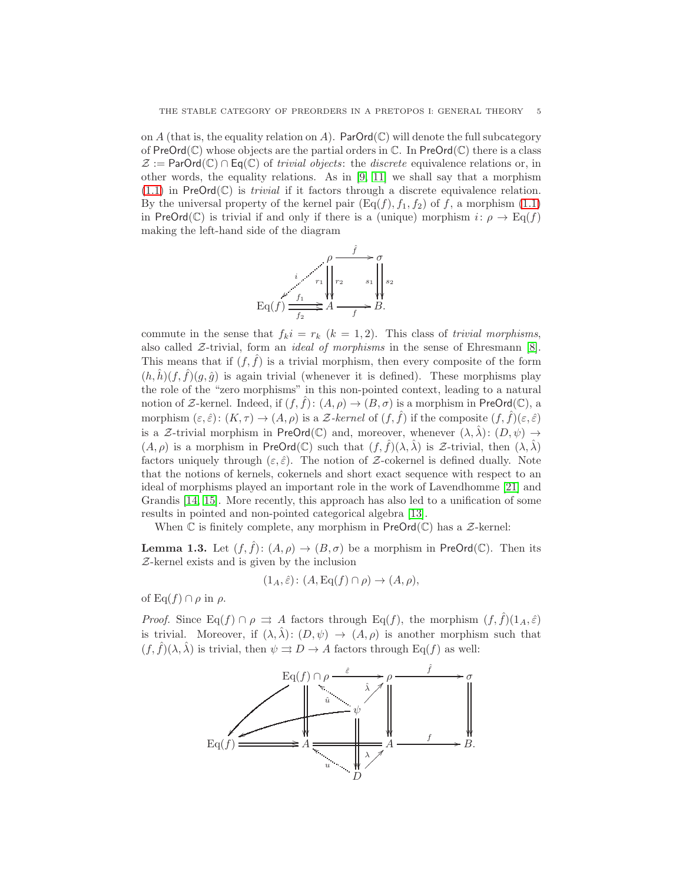on A (that is, the equality relation on A). ParOrd( $\mathbb{C}$ ) will denote the full subcategory of  $PreOrd(\mathbb{C})$  whose objects are the partial orders in  $\mathbb{C}$ . In  $PreOrd(\mathbb{C})$  there is a class  $\mathcal{Z} := \text{ParOrd}(\mathbb{C}) \cap \text{Eq}(\mathbb{C})$  of *trivial objects*: the *discrete* equivalence relations or, in other words, the equality relations. As in [\[9,](#page-34-0) [11\]](#page-34-2) we shall say that a morphism  $(1.1)$  in PreOrd $(\mathbb{C})$  is *trivial* if it factors through a discrete equivalence relation. By the universal property of the kernel pair  $(\text{Eq}(f), f_1, f_2)$  of f, a morphism [\(1.1\)](#page-3-0) in PreOrd(C) is trivial if and only if there is a (unique) morphism  $i: \rho \to \text{Eq}(f)$ making the left-hand side of the diagram



commute in the sense that  $f_k i = r_k$   $(k = 1, 2)$ . This class of *trivial morphisms*, also called  $Z$ -trivial, form an *ideal of morphisms* in the sense of Ehresmann [\[8\]](#page-34-13). This means that if  $(f, \hat{f})$  is a trivial morphism, then every composite of the form  $(h, \hat{h})(f, \hat{f})(g, \hat{g})$  is again trivial (whenever it is defined). These morphisms play the role of the "zero morphisms" in this non-pointed context, leading to a natural notion of Z-kernel. Indeed, if  $(f, f)$ :  $(A, \rho) \to (B, \sigma)$  is a morphism in PreOrd(C), a morphism  $(\varepsilon, \hat{\varepsilon})$ :  $(K, \tau) \to (A, \rho)$  is a Z-kernel of  $(f, \hat{f})$  if the composite  $(f, \hat{f})(\varepsilon, \hat{\varepsilon})$ is a Z-trivial morphism in PreOrd(C) and, moreover, whenever  $(\lambda, \hat{\lambda})$ :  $(D, \psi) \rightarrow$  $(A, \rho)$  is a morphism in PreOrd(C) such that  $(f, \hat{f})(\lambda, \hat{\lambda})$  is Z-trivial, then  $(\lambda, \hat{\lambda})$ factors uniquely through  $(\varepsilon, \hat{\varepsilon})$ . The notion of Z-cokernel is defined dually. Note that the notions of kernels, cokernels and short exact sequence with respect to an ideal of morphisms played an important role in the work of Lavendhomme [\[21\]](#page-34-14) and Grandis [\[14,](#page-34-15) [15\]](#page-34-16). More recently, this approach has also led to a unification of some results in pointed and non-pointed categorical algebra [\[13\]](#page-34-17).

When  $\mathbb C$  is finitely complete, any morphism in  $PreOrd(\mathbb C)$  has a  $\mathcal Z$ -kernel:

<span id="page-4-0"></span>**Lemma 1.3.** Let  $(f, \hat{f})$ :  $(A, \rho) \to (B, \sigma)$  be a morphism in PreOrd(C). Then its Z-kernel exists and is given by the inclusion

$$
(1_A, \hat{\varepsilon}) \colon (A, \operatorname{Eq}(f) \cap \rho) \to (A, \rho),
$$

of Eq(f)  $\cap \rho$  in  $\rho$ .

*Proof.* Since Eq(f)  $\cap \rho \implies A$  factors through Eq(f), the morphism  $(f, \hat{f})(1_A, \hat{\varepsilon})$ is trivial. Moreover, if  $(\lambda, \hat{\lambda})$ :  $(D, \psi) \rightarrow (A, \rho)$  is another morphism such that  $(f, \hat{f})(\lambda, \hat{\lambda})$  is trivial, then  $\psi \Rightarrow D \rightarrow A$  factors through Eq(f) as well:

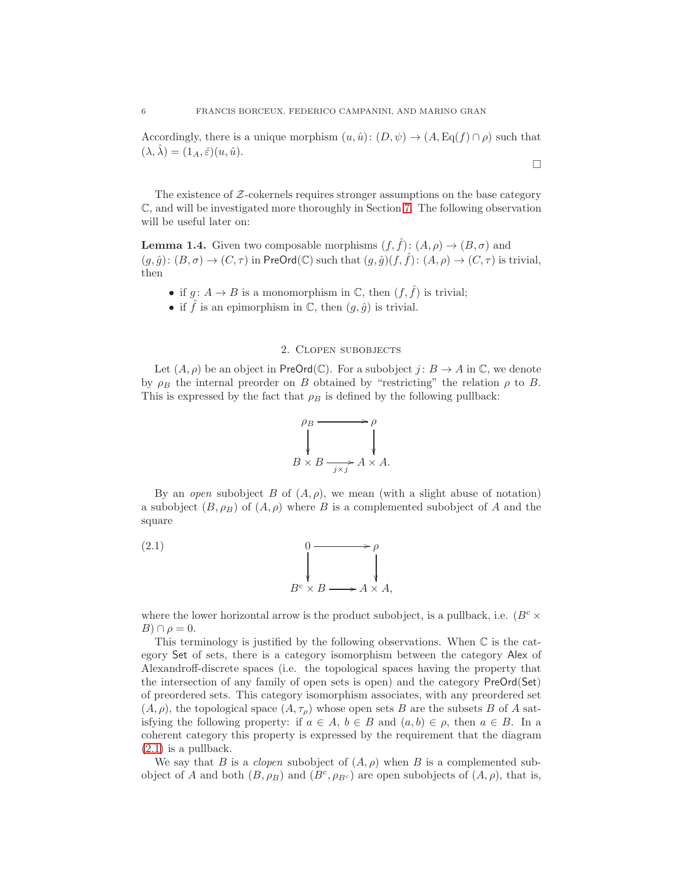Accordingly, there is a unique morphism  $(u, \hat{u}): (D, \psi) \to (A, \text{Eq}(f) \cap \rho)$  such that  $(\lambda, \hat{\lambda}) = (1_A, \hat{\varepsilon})(u, \hat{u}).$ 

 $\Box$ 

The existence of  $Z$ -cokernels requires stronger assumptions on the base category C, and will be investigated more thoroughly in Section [7.](#page-26-0) The following observation will be useful later on:

<span id="page-5-2"></span>**Lemma 1.4.** Given two composable morphisms  $(f, \hat{f})$ :  $(A, \rho) \rightarrow (B, \sigma)$  and  $(g, \hat{g}): (B, \sigma) \to (C, \tau)$  in PreOrd(C) such that  $(g, \hat{g})(f, \hat{f}): (A, \rho) \to (C, \tau)$  is trivial, then

- if  $g: A \to B$  is a monomorphism in  $\mathbb{C}$ , then  $(f, \hat{f})$  is trivial;
- if  $\hat{f}$  is an epimorphism in  $\mathbb{C}$ , then  $(g, \hat{g})$  is trivial.

# 2. Clopen subobjects

<span id="page-5-0"></span>Let  $(A, \rho)$  be an object in PreOrd(C). For a subobject  $j : B \to A$  in C, we denote by  $\rho_B$  the internal preorder on B obtained by "restricting" the relation  $\rho$  to B. This is expressed by the fact that  $\rho_B$  is defined by the following pullback:

<span id="page-5-1"></span>

By an open subobject B of  $(A, \rho)$ , we mean (with a slight abuse of notation) a subobject  $(B, \rho_B)$  of  $(A, \rho)$  where B is a complemented subobject of A and the square

(2.1) 
$$
\begin{array}{ccc}\n & & 0 & \longrightarrow & \rho \\
 & & \downarrow & & \downarrow \\
 & & B^c \times B \longrightarrow A \times A,\n\end{array}
$$

where the lower horizontal arrow is the product subobject, is a pullback, i.e.  $(B<sup>c</sup> \times$  $B$ )  $\cap \rho = 0$ .

This terminology is justified by the following observations. When  $\mathbb C$  is the category Set of sets, there is a category isomorphism between the category Alex of Alexandroff-discrete spaces (i.e. the topological spaces having the property that the intersection of any family of open sets is open) and the category PreOrd(Set) of preordered sets. This category isomorphism associates, with any preordered set  $(A, \rho)$ , the topological space  $(A, \tau_{\rho})$  whose open sets B are the subsets B of A satisfying the following property: if  $a \in A$ ,  $b \in B$  and  $(a, b) \in \rho$ , then  $a \in B$ . In a coherent category this property is expressed by the requirement that the diagram [\(2.1\)](#page-5-1) is a pullback.

We say that B is a *clopen* subobject of  $(A, \rho)$  when B is a complemented subobject of A and both  $(B, \rho_B)$  and  $(B^c, \rho_{B^c})$  are open subobjects of  $(A, \rho)$ , that is,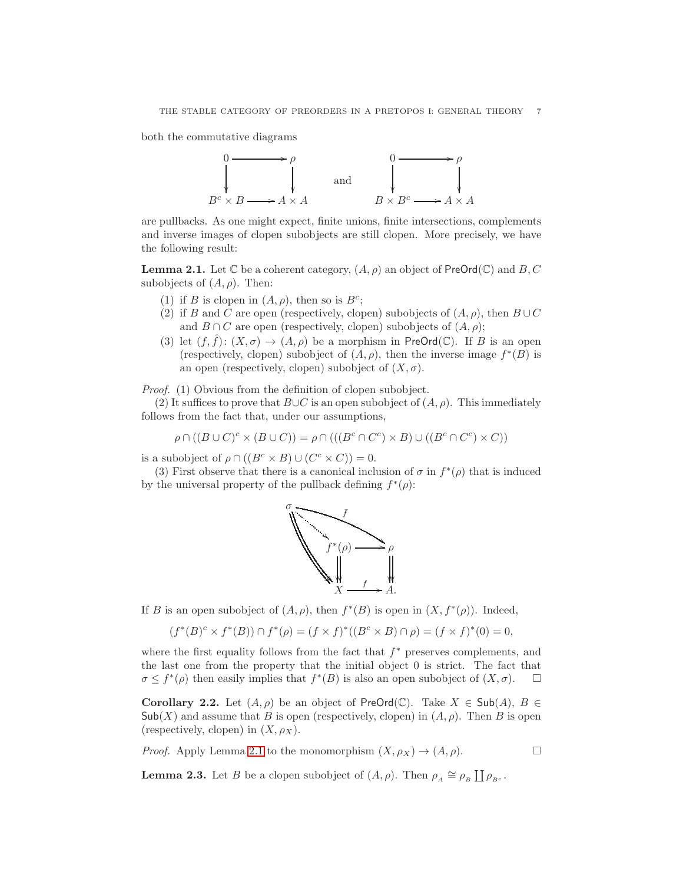both the commutative diagrams



are pullbacks. As one might expect, finite unions, finite intersections, complements and inverse images of clopen subobjects are still clopen. More precisely, we have the following result:

<span id="page-6-0"></span>**Lemma 2.1.** Let  $\mathbb C$  be a coherent category,  $(A, \rho)$  an object of PreOrd( $\mathbb C$ ) and B, C subobjects of  $(A, \rho)$ . Then:

- (1) if B is clopen in  $(A, \rho)$ , then so is  $B^c$ ;
- (2) if B and C are open (respectively, clopen) subobjects of  $(A, \rho)$ , then  $B\cup C$ and  $B \cap C$  are open (respectively, clopen) subobjects of  $(A, \rho)$ ;
- (3) let  $(f, \hat{f})$ :  $(X, \sigma) \to (A, \rho)$  be a morphism in PreOrd(C). If B is an open (respectively, clopen) subobject of  $(A, \rho)$ , then the inverse image  $f^*(B)$  is an open (respectively, clopen) subobject of  $(X, \sigma)$ .

Proof. (1) Obvious from the definition of clopen subobject.

(2) It suffices to prove that  $B\cup C$  is an open subobject of  $(A, \rho)$ . This immediately follows from the fact that, under our assumptions,

$$
\rho \cap ((B \cup C)^c \times (B \cup C)) = \rho \cap (((B^c \cap C^c) \times B) \cup ((B^c \cap C^c) \times C))
$$

is a subobject of  $\rho \cap ((B^c \times B) \cup (C^c \times C)) = 0$ .

(3) First observe that there is a canonical inclusion of  $\sigma$  in  $f^*(\rho)$  that is induced by the universal property of the pullback defining  $f^*(\rho)$ :



If B is an open subobject of  $(A, \rho)$ , then  $f^*(B)$  is open in  $(X, f^*(\rho))$ . Indeed,

$$
(f^*(B)^c \times f^*(B)) \cap f^*(\rho) = (f \times f)^*((B^c \times B) \cap \rho) = (f \times f)^*(0) = 0,
$$

where the first equality follows from the fact that  $f^*$  preserves complements, and the last one from the property that the initial object 0 is strict. The fact that  $\sigma \leq f^*(\rho)$  then easily implies that  $f^*(B)$  is also an open subobject of  $(X, \sigma)$ .  $\Box$ 

<span id="page-6-1"></span>Corollary 2.2. Let  $(A, \rho)$  be an object of PreOrd(C). Take  $X \in Sub(A)$ ,  $B \in$  $\mathsf{Sub}(X)$  and assume that B is open (respectively, clopen) in  $(A, \rho)$ . Then B is open (respectively, clopen) in  $(X, \rho_X)$ .

*Proof.* Apply Lemma [2.1](#page-6-0) to the monomorphism  $(X, \rho_X) \to (A, \rho)$ .

<span id="page-6-2"></span>**Lemma 2.3.** Let B be a clopen subobject of  $(A, \rho)$ . Then  $\rho_A \cong \rho_B \coprod \rho_{B^c}$ .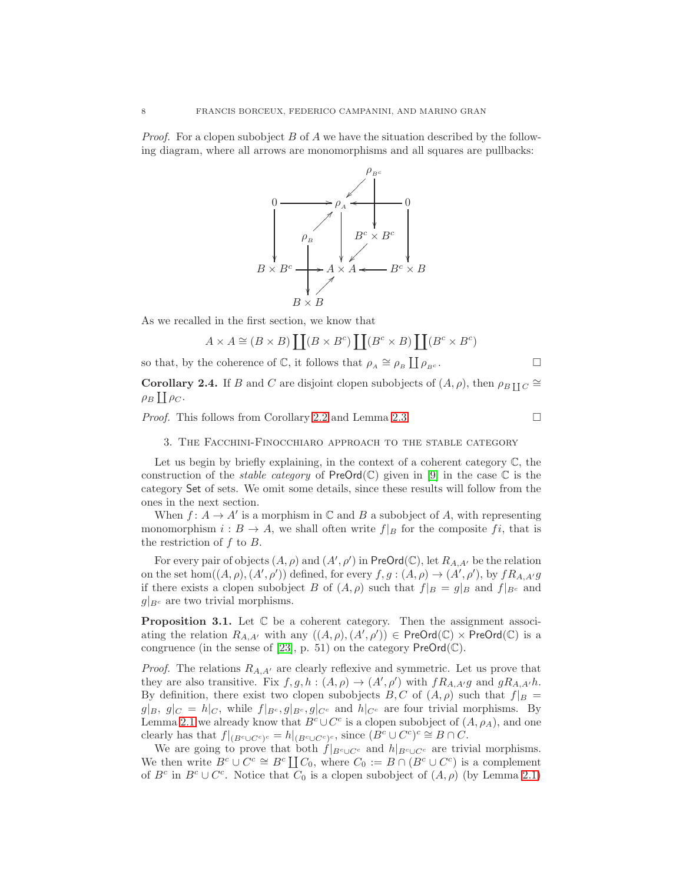*Proof.* For a clopen subobject B of A we have the situation described by the following diagram, where all arrows are monomorphisms and all squares are pullbacks:



As we recalled in the first section, we know that

$$
A \times A \cong (B \times B) \coprod (B \times B^c) \coprod (B^c \times B) \coprod (B^c \times B^c)
$$

so that, by the coherence of  $\mathbb{C}$ , it follows that  $\rho_A \cong \rho_B \coprod \rho_{B^c}$ .

<span id="page-7-1"></span>**Corollary 2.4.** If B and C are disjoint clopen subobjects of  $(A, \rho)$ , then  $\rho_{BII} C \cong$  $\rho_B\coprod \rho_C.$ 

<span id="page-7-0"></span>*Proof.* This follows from Corollary [2.2](#page-6-1) and Lemma [2.3.](#page-6-2)  $\Box$ 

3. The Facchini-Finocchiaro approach to the stable category

Let us begin by briefly explaining, in the context of a coherent category  $\mathbb{C}$ , the construction of the *stable category* of  $PreOrd(\mathbb{C})$  given in [\[9\]](#page-34-0) in the case  $\mathbb C$  is the category Set of sets. We omit some details, since these results will follow from the ones in the next section.

When  $f: A \to A'$  is a morphism in  $\mathbb C$  and  $B$  a subobject of  $A$ , with representing monomorphism  $i : B \to A$ , we shall often write  $f|_B$  for the composite fi, that is the restriction of  $f$  to  $B$ .

For every pair of objects  $(A, \rho)$  and  $(A', \rho')$  in PreOrd(C), let  $R_{A, A'}$  be the relation on the set hom $((A, \rho), (A', \rho'))$  defined, for every  $f, g : (A, \rho) \to (A', \rho')$ , by  $fR_{A, A'}g$ if there exists a clopen subobject B of  $(A, \rho)$  such that  $f|_B = g|_B$  and  $f|_{B^c}$  and  $g|_{B^c}$  are two trivial morphisms.

**Proposition 3.1.** Let  $\mathbb C$  be a coherent category. Then the assignment associating the relation  $R_{A,A'}$  with any  $((A,\rho),(A',\rho')) \in \mathsf{PreOrd}(\mathbb{C}) \times \mathsf{PreOrd}(\mathbb{C})$  is a congruence (in the sense of [\[23\]](#page-34-18), p. 51) on the category  $\mathsf{PreOrd}(\mathbb{C})$ .

*Proof.* The relations  $R_{A,A'}$  are clearly reflexive and symmetric. Let us prove that they are also transitive. Fix  $f, g, h : (A, \rho) \to (A', \rho')$  with  $f R_{A, A'} g$  and  $g R_{A, A'} h$ . By definition, there exist two clopen subobjects  $B, C$  of  $(A, \rho)$  such that  $f|_B =$  $g|B, g|_{C} = h|_{C}$ , while  $f|_{B^c}, g|_{B^c}, g|_{C^c}$  and  $h|_{C^c}$  are four trivial morphisms. By Lemma [2.1](#page-6-0) we already know that  $B^c \cup C^c$  is a clopen subobject of  $(A, \rho_A)$ , and one clearly has that  $f|_{(B^c \cup C^c)^c} = h|_{(B^c \cup C^c)^c}$ , since  $(B^c \cup C^c)^c \cong B \cap C$ .

We are going to prove that both  $f|_{B^c \cup C^c}$  and  $h|_{B^c \cup C^c}$  are trivial morphisms. We then write  $B^c \cup C^c \cong B^c \coprod C_0$ , where  $C_0 := B \cap (B^c \cup C^c)$  is a complement of  $B^c$  in  $B^c \cup C^c$ . Notice that  $C_0$  is a clopen subobject of  $(A, \rho)$  (by Lemma [2.1\)](#page-6-0)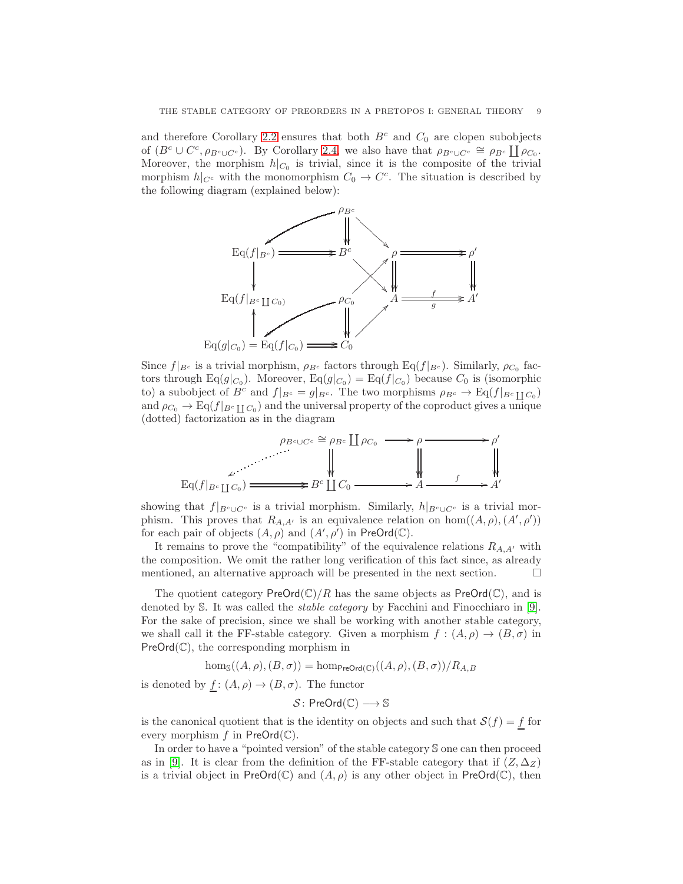and therefore Corollary [2.2](#page-6-1) ensures that both  $B<sup>c</sup>$  and  $C<sub>0</sub>$  are clopen subobjects of  $(B^c \cup C^c, \rho_{B^c \cup C^c})$ . By Corollary [2.4,](#page-7-1) we also have that  $\rho_{B^c \cup C^c} \cong \rho_{B^c} \coprod \rho_{C_0}$ . Moreover, the morphism  $h|_{C_0}$  is trivial, since it is the composite of the trivial morphism  $h|_{C^c}$  with the monomorphism  $C_0 \to C^c$ . The situation is described by the following diagram (explained below):



Since  $f|_{B^c}$  is a trivial morphism,  $\rho_{B^c}$  factors through Eq( $f|_{B^c}$ ). Similarly,  $\rho_{C_0}$  factors through Eq(g| $C_0$ ). Moreover, Eq(g| $C_0$ ) = Eq( $f|_{C_0}$ ) because  $C_0$  is (isomorphic to) a subobject of  $B^c$  and  $f|_{B^c} = g|_{B^c}$ . The two morphisms  $\rho_{B^c} \to \text{Eq}(f|_{B^c \coprod C_0})$ and  $\rho_{C_0} \to \text{Eq}(f|_{B^c \coprod C_0})$  and the universal property of the coproduct gives a unique (dotted) factorization as in the diagram



showing that  $f|_{B^c \cup C^c}$  is a trivial morphism. Similarly,  $h|_{B^c \cup C^c}$  is a trivial morphism. This proves that  $R_{A,A'}$  is an equivalence relation on hom $((A, \rho), (A', \rho'))$ for each pair of objects  $(A, \rho)$  and  $(A', \rho')$  in PreOrd( $\mathbb{C}$ ).

It remains to prove the "compatibility" of the equivalence relations  $R_{A,A'}$  with the composition. We omit the rather long verification of this fact since, as already mentioned, an alternative approach will be presented in the next section.  $\Box$ 

The quotient category  $\text{PreOrd}(\mathbb{C})/R$  has the same objects as  $\text{PreOrd}(\mathbb{C})$ , and is denoted by S. It was called the stable category by Facchini and Finocchiaro in [\[9\]](#page-34-0). For the sake of precision, since we shall be working with another stable category, we shall call it the FF-stable category. Given a morphism  $f : (A, \rho) \to (B, \sigma)$  in  $PreOrd(\mathbb{C})$ , the corresponding morphism in

$$
\hom_{\mathbb{S}}((A,\rho),(B,\sigma)) = \hom_{\mathsf{PreOrd}(\mathbb{C})}((A,\rho),(B,\sigma))/R_{A,B}
$$

is denoted by  $\underline{f}$ :  $(A, \rho) \rightarrow (B, \sigma)$ . The functor

$$
\mathcal{S} \colon \mathsf{PreOrd}(\mathbb{C}) \longrightarrow \mathbb{S}
$$

is the canonical quotient that is the identity on objects and such that  $\mathcal{S}(f) = f$  for every morphism  $f$  in  $PreOrd(\mathbb{C})$ .

In order to have a "pointed version" of the stable category S one can then proceed as in [\[9\]](#page-34-0). It is clear from the definition of the FF-stable category that if  $(Z, \Delta_Z)$ is a trivial object in PreOrd( $\mathbb{C}$ ) and  $(A, \rho)$  is any other object in PreOrd( $\mathbb{C}$ ), then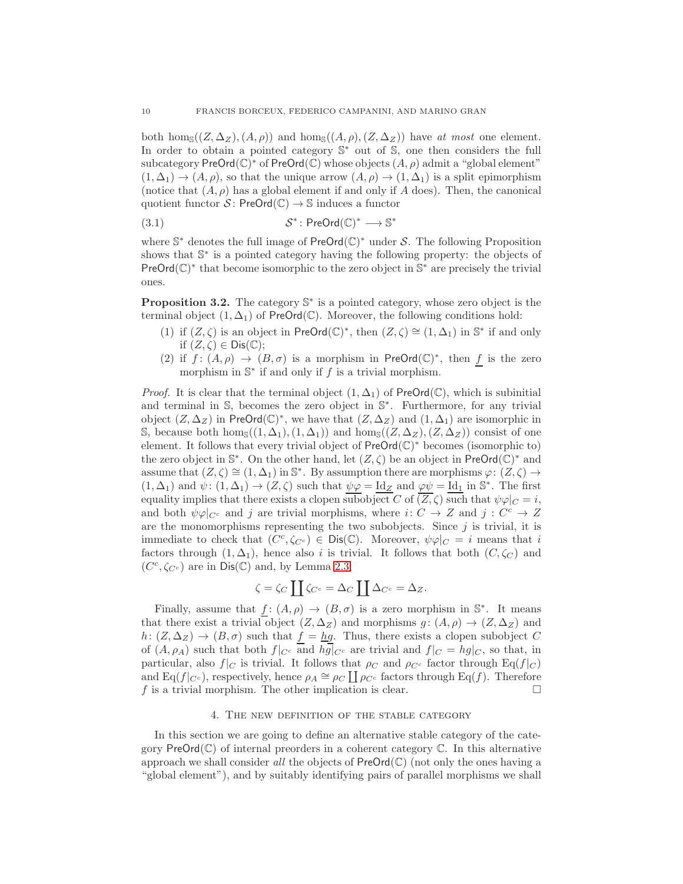both hom<sub>S</sub> $((Z, \Delta_Z), (A, \rho))$  and hom<sub>S</sub> $((A, \rho), (Z, \Delta_Z))$  have at most one element. In order to obtain a pointed category S <sup>∗</sup> out of S, one then considers the full subcategory PreOrd $(\mathbb{C})^*$  of PreOrd $(\mathbb{C})$  whose objects  $(A, \rho)$  admit a "global element"  $(1, \Delta_1) \rightarrow (A, \rho)$ , so that the unique arrow  $(A, \rho) \rightarrow (1, \Delta_1)$  is a split epimorphism (notice that  $(A, \rho)$ ) has a global element if and only if A does). Then, the canonical quotient functor  $S$ : PreOrd $(\mathbb{C}) \rightarrow \mathbb{S}$  induces a functor

<span id="page-9-1"></span>
$$
(3.1) \tS^* \colon \mathsf{PreOrd}(\mathbb{C})^* \longrightarrow \mathbb{S}^*
$$

where  $\mathbb{S}^*$  denotes the full image of  $\mathsf{PreOrd}(\mathbb{C})^*$  under S. The following Proposition shows that  $\mathbb{S}^*$  is a pointed category having the following property: the objects of PreOrd( $\mathbb{C}$ )<sup>\*</sup> that become isomorphic to the zero object in  $\mathbb{S}^*$  are precisely the trivial ones.

**Proposition 3.2.** The category  $\mathbb{S}^*$  is a pointed category, whose zero object is the terminal object  $(1, \Delta_1)$  of PreOrd $(\mathbb{C})$ . Moreover, the following conditions hold:

- (1) if  $(Z, \zeta)$  is an object in PreOrd $(\mathbb{C})^*$ , then  $(Z, \zeta) \cong (1, \Delta_1)$  in  $\mathbb{S}^*$  if and only if  $(Z,\zeta) \in \mathsf{Dis}(\mathbb{C});$
- (2) if  $f: (A, \rho) \to (B, \sigma)$  is a morphism in PreOrd(C)<sup>\*</sup>, then f is the zero morphism in  $\mathbb{S}^*$  if and only if f is a trivial morphism.

*Proof.* It is clear that the terminal object  $(1, \Delta_1)$  of PreOrd( $\mathbb{C}$ ), which is subinitial and terminal in S, becomes the zero object in S<sup>\*</sup>. Furthermore, for any trivial object  $(Z, \Delta_Z)$  in PreOrd( $\mathbb{C}^*$ , we have that  $(Z, \Delta_Z)$  and  $(1, \Delta_1)$  are isomorphic in S, because both hom<sub>S</sub> $((1, \Delta_1), (1, \Delta_1))$  and hom<sub>S</sub> $((Z, \Delta_Z), (Z, \Delta_Z))$  consist of one element. It follows that every trivial object of  $PreOrd(\mathbb{C})^*$  becomes (isomorphic to) the zero object in  $\mathbb{S}^*$ . On the other hand, let  $(Z, \zeta)$  be an object in PreOrd $(\mathbb{C})^*$  and assume that  $(Z,\zeta) \cong (1,\Delta_1)$  in  $\mathbb{S}^*$ . By assumption there are morphisms  $\varphi: (Z,\zeta) \to$  $(1, \Delta_1)$  and  $\psi: (1, \Delta_1) \to (Z, \zeta)$  such that  $\psi \varphi = \underline{\mathrm{Id}}_Z$  and  $\varphi \psi = \underline{\mathrm{Id}}_1$  in  $\mathbb{S}^*$ . The first equality implies that there exists a clopen subobject C of  $(\overline{Z}, \zeta)$  such that  $\psi \varphi|_C = i$ , and both  $\psi \varphi|_{C^c}$  and j are trivial morphisms, where  $i: C \to Z$  and  $j: C^c \to Z$ are the monomorphisms representing the two subobjects. Since  $j$  is trivial, it is immediate to check that  $(C^c, \zeta_{C^c}) \in \text{Dis}(\mathbb{C})$ . Moreover,  $\psi \varphi|_C = i$  means that i factors through  $(1, \Delta_1)$ , hence also i is trivial. It follows that both  $(C, \zeta_C)$  and  $(C^c, \zeta_{C^c})$  are in  $Dis(\mathbb{C})$  and, by Lemma [2.3,](#page-6-2)

$$
\zeta = \zeta_C \coprod \zeta_{C^c} = \Delta_C \coprod \Delta_{C^c} = \Delta_Z.
$$

Finally, assume that  $f: (A, \rho) \to (B, \sigma)$  is a zero morphism in  $\mathbb{S}^*$ . It means that there exist a trivial object  $(Z, \Delta_Z)$  and morphisms  $g : (A, \rho) \to (Z, \Delta_Z)$  and  $h: (Z, \Delta_Z) \to (B, \sigma)$  such that  $\underline{f} = \underline{h}\underline{g}$ . Thus, there exists a clopen subobject C of  $(A, \rho_A)$  such that both  $f|_{C^c}$  and  $hg|_{C^c}$  are trivial and  $f|_{C} = hg|_{C}$ , so that, in particular, also  $f|_C$  is trivial. It follows that  $\rho_C$  and  $\rho_{C^c}$  factor through  $\text{Eq}(f|_C)$ and Eq( $f|_{C^c}$ ), respectively, hence  $\rho_A \cong \rho_C \coprod \rho_{C^c}$  factors through Eq( $f$ ). Therefore f is a trivial morphism. The other implication is clear.  $\square$ 

#### 4. The new definition of the stable category

<span id="page-9-0"></span>In this section we are going to define an alternative stable category of the category PreOrd $(\mathbb{C})$  of internal preorders in a coherent category  $\mathbb{C}$ . In this alternative approach we shall consider all the objects of  $PreOrd(\mathbb{C})$  (not only the ones having a "global element"), and by suitably identifying pairs of parallel morphisms we shall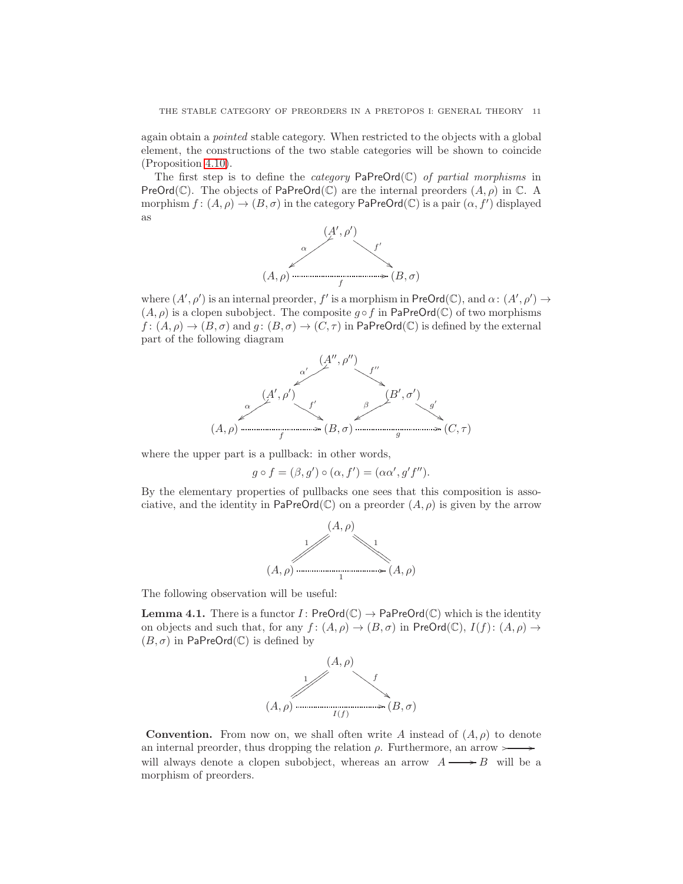again obtain a pointed stable category. When restricted to the objects with a global element, the constructions of the two stable categories will be shown to coincide (Proposition [4.10\)](#page-16-0).

The first step is to define the *category*  $\text{PaPreOrd}(\mathbb{C})$  of partial morphisms in PreOrd( $\mathbb C$ ). The objects of PaPreOrd( $\mathbb C$ ) are the internal preorders  $(A, \rho)$  in  $\mathbb C$ . A morphism  $f: (A, \rho) \to (B, \sigma)$  in the category PaPreOrd(C) is a pair  $(\alpha, f')$  displayed as



where  $(A', \rho')$  is an internal preorder, f' is a morphism in  $\mathsf{PreOrd}(\mathbb{C}),$  and  $\alpha: (A', \rho') \to$  $(A, \rho)$  is a clopen subobject. The composite  $g \circ f$  in PaPreOrd(C) of two morphisms  $f: (A, \rho) \to (B, \sigma)$  and  $g: (B, \sigma) \to (C, \tau)$  in PaPreOrd(C) is defined by the external part of the following diagram



where the upper part is a pullback: in other words,

$$
g \circ f = (\beta, g') \circ (\alpha, f') = (\alpha \alpha', g' f'').
$$

By the elementary properties of pullbacks one sees that this composition is associative, and the identity in PaPreOrd(C) on a preorder  $(A, \rho)$  is given by the arrow



The following observation will be useful:

<span id="page-10-0"></span>**Lemma 4.1.** There is a functor  $I:$  PreOrd $(\mathbb{C}) \rightarrow$  PaPreOrd $(\mathbb{C})$  which is the identity on objects and such that, for any  $f: (A, \rho) \to (B, \sigma)$  in PreOrd(C),  $I(f): (A, \rho) \to$  $(B, \sigma)$  in PaPreOrd(C) is defined by



**Convention.** From now on, we shall often write A instead of  $(A, \rho)$  to denote an internal preorder, thus dropping the relation  $\rho$ . Furthermore, an arrow  $\rightarrow$ will always denote a clopen subobject, whereas an arrow  $A \longrightarrow B$  will be a morphism of preorders.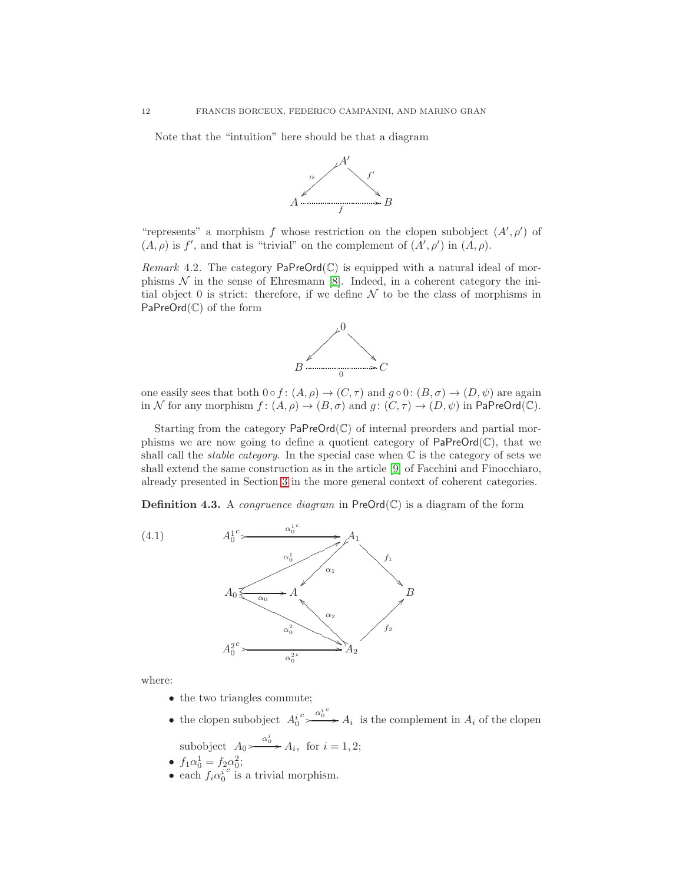Note that the "intuition" here should be that a diagram



"represents" a morphism f whose restriction on the clopen subobject  $(A', \rho')$  of  $(A, \rho)$  is f', and that is "trivial" on the complement of  $(A', \rho')$  in  $(A, \rho)$ .

*Remark* 4.2. The category  $\text{PaPreOrd}(\mathbb{C})$  is equipped with a natural ideal of morphisms  $\mathcal N$  in the sense of Ehresmann [\[8\]](#page-34-13). Indeed, in a coherent category the initial object 0 is strict: therefore, if we define  $N$  to be the class of morphisms in PaPreOrd(C) of the form



one easily sees that both  $0 \circ f : (A, \rho) \to (C, \tau)$  and  $g \circ 0 : (B, \sigma) \to (D, \psi)$  are again in N for any morphism  $f: (A, \rho) \to (B, \sigma)$  and  $g: (C, \tau) \to (D, \psi)$  in PaPreOrd(C).

Starting from the category  $\text{PaPreOrd}(\mathbb{C})$  of internal preorders and partial morphisms we are now going to define a quotient category of  $\mathsf{PaPreOrd}(\mathbb{C})$ , that we shall call the *stable category*. In the special case when  $\mathbb C$  is the category of sets we shall extend the same construction as in the article [\[9\]](#page-34-0) of Facchini and Finocchiaro, already presented in Section [3](#page-7-0) in the more general context of coherent categories.

<span id="page-11-0"></span>**Definition 4.3.** A *congruence diagram* in  $PreOrd(\mathbb{C})$  is a diagram of the form



where:

- the two triangles commute;
- the clopen subobject  $A_0^i \xrightarrow{a_0^i c} A_i$  is the complement in  $A_i$  of the clopen α i

subobject 
$$
A_0 \rightarrow a_i
$$
, for  $i = 1, 2$ ;  
 $f_1 \circ f_2 = f_2 \circ f_1$ .

- $f_1 \alpha_0^1 = f_2 \alpha_0^2;$
- each  $f_i \alpha_0^i$  $\epsilon$  is a trivial morphism.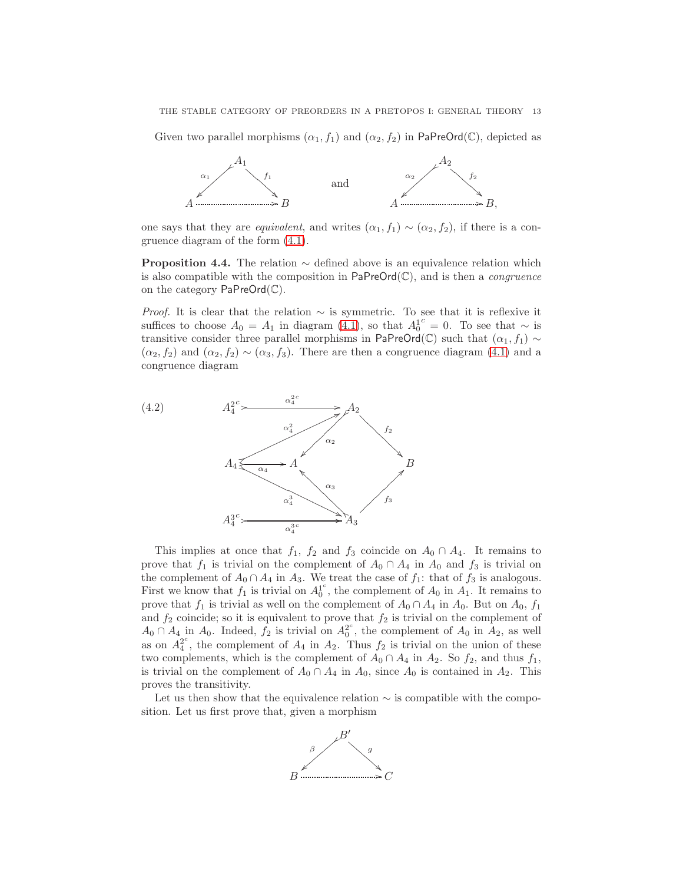Given two parallel morphisms  $(\alpha_1, f_1)$  and  $(\alpha_2, f_2)$  in PaPreOrd(C), depicted as



one says that they are *equivalent*, and writes  $(\alpha_1, f_1) \sim (\alpha_2, f_2)$ , if there is a congruence diagram of the form [\(4.1\)](#page-11-0).

<span id="page-12-0"></span>**Proposition 4.4.** The relation  $\sim$  defined above is an equivalence relation which is also compatible with the composition in  $\mathsf{PaPreOrd}(\mathbb{C})$ , and is then a *congruence* on the category PaPreOrd(C).

*Proof.* It is clear that the relation  $\sim$  is symmetric. To see that it is reflexive it suffices to choose  $A_0 = A_1$  in diagram [\(4.1\)](#page-11-0), so that  $A_0^{1c} = 0$ . To see that  $\sim$  is transitive consider three parallel morphisms in PaPreOrd(C) such that  $(\alpha_1, f_1) \sim$  $(\alpha_2, f_2)$  and  $(\alpha_2, f_2) \sim (\alpha_3, f_3)$ . There are then a congruence diagram [\(4.1\)](#page-11-0) and a congruence diagram



This implies at once that  $f_1$ ,  $f_2$  and  $f_3$  coincide on  $A_0 \cap A_4$ . It remains to prove that  $f_1$  is trivial on the complement of  $A_0 \cap A_4$  in  $A_0$  and  $f_3$  is trivial on the complement of  $A_0 \cap A_4$  in  $A_3$ . We treat the case of  $f_1$ : that of  $f_3$  is analogous. First we know that  $f_1$  is trivial on  $A_0^1$ <sup>c</sup>, the complement of  $A_0$  in  $A_1$ . It remains to prove that  $f_1$  is trivial as well on the complement of  $A_0 \cap A_4$  in  $A_0$ . But on  $A_0$ ,  $f_1$ and  $f_2$  coincide; so it is equivalent to prove that  $f_2$  is trivial on the complement of  $A_0 \cap A_4$  in  $A_0$ . Indeed,  $f_2$  is trivial on  $A_0^2$ , the complement of  $A_0$  in  $A_2$ , as well as on  $A_4^{2^c}$ , the complement of  $A_4$  in  $A_2$ . Thus  $f_2$  is trivial on the union of these two complements, which is the complement of  $A_0 \cap A_4$  in  $A_2$ . So  $f_2$ , and thus  $f_1$ , is trivial on the complement of  $A_0 \cap A_4$  in  $A_0$ , since  $A_0$  is contained in  $A_2$ . This proves the transitivity.

Let us then show that the equivalence relation  $\sim$  is compatible with the composition. Let us first prove that, given a morphism

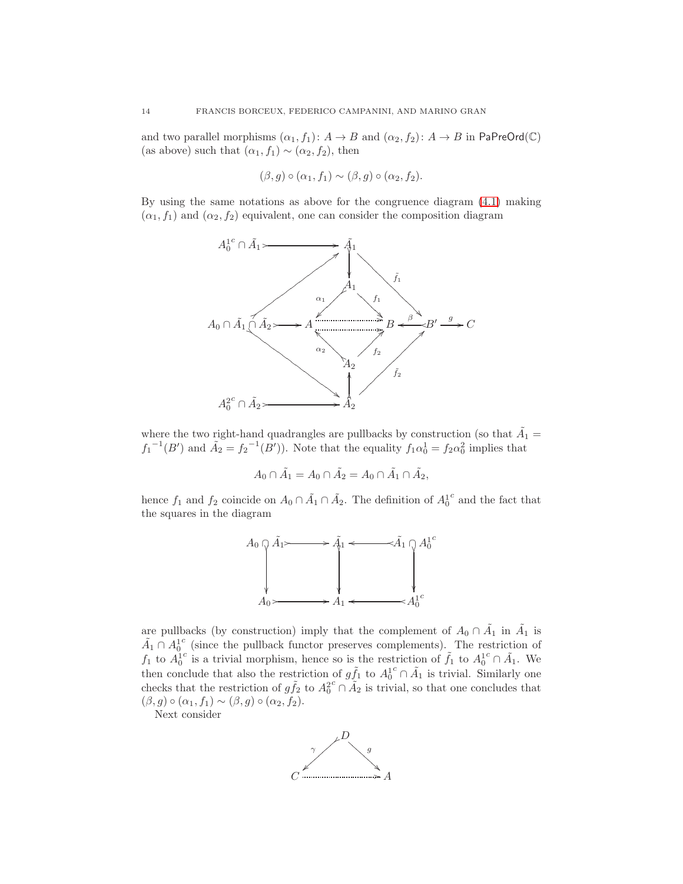and two parallel morphisms  $(\alpha_1, f_1): A \to B$  and  $(\alpha_2, f_2): A \to B$  in PaPreOrd(C) (as above) such that  $(\alpha_1, f_1) \sim (\alpha_2, f_2)$ , then

$$
(\beta, g) \circ (\alpha_1, f_1) \sim (\beta, g) \circ (\alpha_2, f_2).
$$

By using the same notations as above for the congruence diagram [\(4.1\)](#page-11-0) making  $(\alpha_1, f_1)$  and  $(\alpha_2, f_2)$  equivalent, one can consider the composition diagram



where the two right-hand quadrangles are pullbacks by construction (so that  $\tilde{A}_1 =$  $f_1^{-1}(B')$  and  $\tilde{A}_2 = f_2^{-1}(B')$ . Note that the equality  $f_1 \alpha_0^1 = f_2 \alpha_0^2$  implies that

$$
A_0 \cap \tilde{A}_1 = A_0 \cap \tilde{A}_2 = A_0 \cap \tilde{A}_1 \cap \tilde{A}_2,
$$

hence  $f_1$  and  $f_2$  coincide on  $A_0 \cap \tilde{A}_1 \cap \tilde{A}_2$ . The definition of  $A_0^1$  $\real^c$  and the fact that the squares in the diagram



are pullbacks (by construction) imply that the complement of  $A_0 \cap \tilde{A_1}$  in  $\tilde{A_1}$  is  $\tilde{A}_1 \cap A_0^1$ c (since the pullback functor preserves complements). The restriction of  $f_1$  to  $A_0^1$ <sup>c</sup> is a trivial morphism, hence so is the restriction of  $\tilde{f}_1$  to  $A_0^1$  $c \cap \tilde{A}_1$ . We then conclude that also the restriction of  $g\tilde{f}_1$  to  $A_0^1$  $c \cap \tilde{A}_1$  is trivial. Similarly one checks that the restriction of  $g\tilde{f}_2$  to  $A_0^2$  $c \cap \tilde{A}_2$  is trivial, so that one concludes that  $(\beta, g) \circ (\alpha_1, f_1) \sim (\beta, g) \circ (\alpha_2, f_2).$ 

Next consider

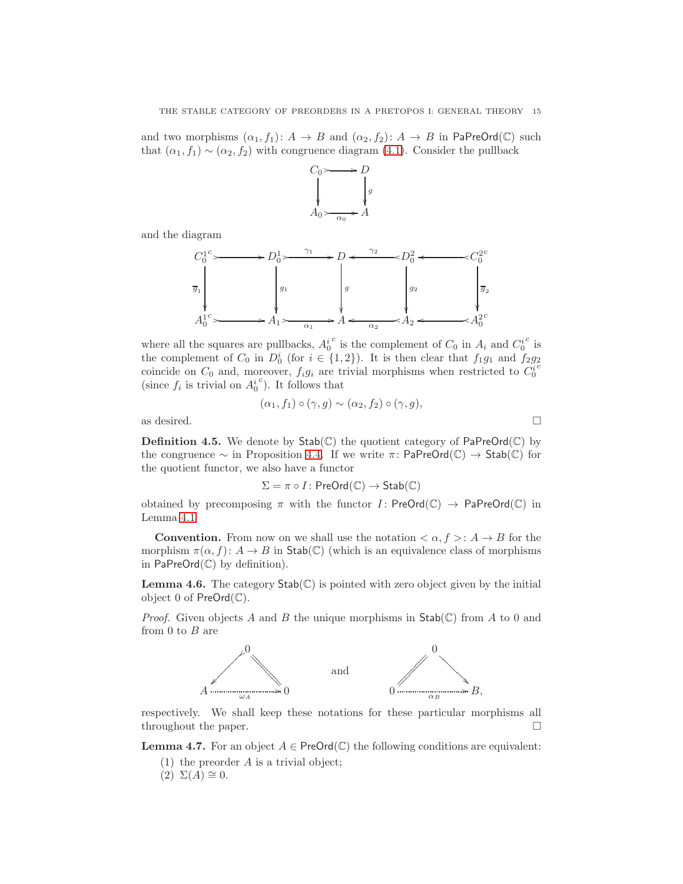and two morphisms  $(\alpha_1, f_1): A \to B$  and  $(\alpha_2, f_2): A \to B$  in PaPreOrd(C) such that  $(\alpha_1, f_1) \sim (\alpha_2, f_2)$  with congruence diagram [\(4.1\)](#page-11-0). Consider the pullback



and the diagram



where all the squares are pullbacks,  $A_0^i$ <sup>c</sup> is the complement of  $C_0$  in  $A_i$  and  $C_0^i$  $\frac{c}{\text{is}}$ the complement of  $C_0$  in  $D_0^i$  (for  $i \in \{1,2\}$ ). It is then clear that  $f_1g_1$  and  $f_2g_2$ coincide on  $C_0$  and, moreover,  $f_i g_i$  are trivial morphisms when restricted to  $C_0^i$ (since  $f_i$  is trivial on  $A_0^i$  $c$ ). It follows that

$$
(\alpha_1, f_1) \circ (\gamma, g) \sim (\alpha_2, f_2) \circ (\gamma, g),
$$

as desired.  $\hfill \square$ 

**Definition 4.5.** We denote by  $\text{Stab}(\mathbb{C})$  the quotient category of  $\text{PaPreOrd}(\mathbb{C})$  by the congruence  $\sim$  in Proposition [4.4.](#page-12-0) If we write  $\pi$ : PaPreOrd( $\mathbb{C}$ )  $\rightarrow$  Stab( $\mathbb{C}$ ) for the quotient functor, we also have a functor

$$
\Sigma = \pi \circ I : \mathsf{PreOrd}(\mathbb{C}) \to \mathsf{Stab}(\mathbb{C})
$$

obtained by precomposing  $\pi$  with the functor  $I:$  PreOrd( $\mathbb{C}$ )  $\rightarrow$  PaPreOrd( $\mathbb{C}$ ) in Lemma [4.1](#page-10-0)

**Convention.** From now on we shall use the notation  $\langle \alpha, f \rangle : A \to B$  for the morphism  $\pi(\alpha, f) : A \to B$  in Stab(C) (which is an equivalence class of morphisms in PaPreOrd(C) by definition).

<span id="page-14-0"></span>**Lemma 4.6.** The category  $\text{Stab}(\mathbb{C})$  is pointed with zero object given by the initial object 0 of  $PreOrd(\mathbb{C})$ .

*Proof.* Given objects A and B the unique morphisms in  $Stab(\mathbb{C})$  from A to 0 and from 0 to  $B$  are



respectively. We shall keep these notations for these particular morphisms all throughout the paper.

**Lemma 4.7.** For an object  $A \in \text{PreOrd}(\mathbb{C})$  the following conditions are equivalent:

- (1) the preorder A is a trivial object;
- $(2) \Sigma(A) \cong 0.$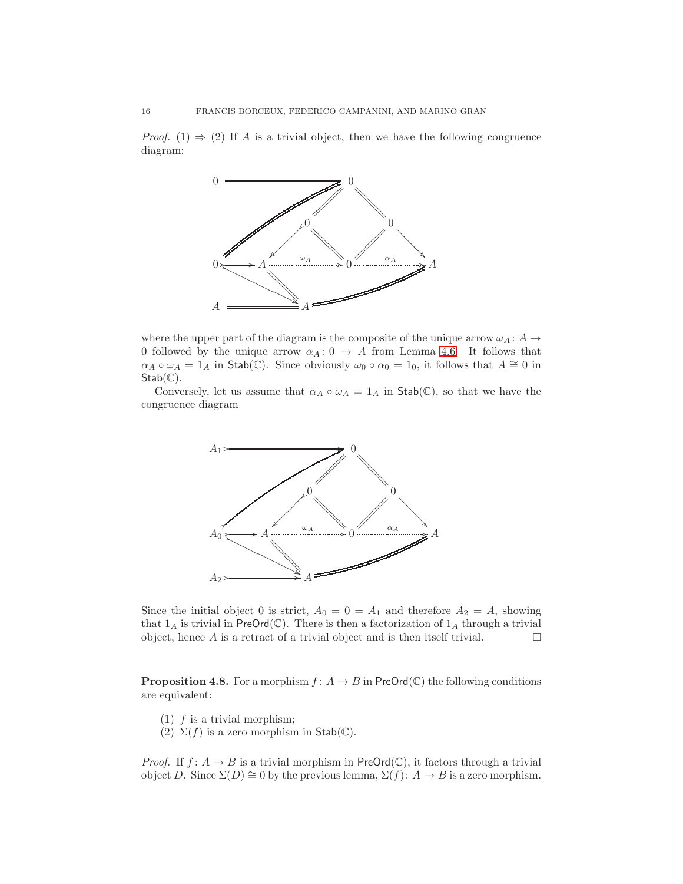*Proof.* (1)  $\Rightarrow$  (2) If A is a trivial object, then we have the following congruence diagram:



where the upper part of the diagram is the composite of the unique arrow  $\omega_A : A \rightarrow$ 0 followed by the unique arrow  $\alpha_A: 0 \rightarrow A$  from Lemma [4.6.](#page-14-0) It follows that  $\alpha_A \circ \omega_A = 1_A$  in Stab(C). Since obviously  $\omega_0 \circ \alpha_0 = 1_0$ , it follows that  $A \cong 0$  in  $Stab(\mathbb{C})$ .

Conversely, let us assume that  $\alpha_A \circ \omega_A = 1_A$  in Stab(C), so that we have the congruence diagram



Since the initial object 0 is strict,  $A_0 = 0 = A_1$  and therefore  $A_2 = A$ , showing that  $1_A$  is trivial in PreOrd(C). There is then a factorization of  $1_A$  through a trivial object, hence  $A$  is a retract of a trivial object and is then itself trivial.  $\hfill \Box$ 

**Proposition 4.8.** For a morphism  $f: A \to B$  in PreOrd(C) the following conditions are equivalent:

- $(1)$  f is a trivial morphism;
- (2)  $\Sigma(f)$  is a zero morphism in Stab(C).

*Proof.* If  $f: A \rightarrow B$  is a trivial morphism in PreOrd(C), it factors through a trivial object D. Since  $\Sigma(D) \cong 0$  by the previous lemma,  $\Sigma(f) : A \to B$  is a zero morphism.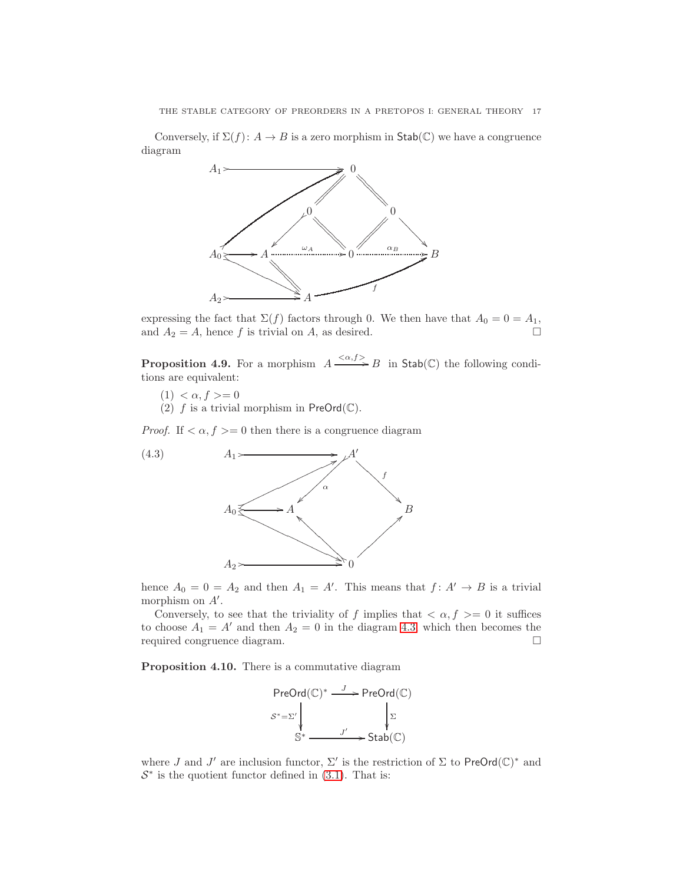Conversely, if  $\Sigma(f)$ :  $A \to B$  is a zero morphism in  $\text{Stab}(\mathbb{C})$  we have a congruence diagram



expressing the fact that  $\Sigma(f)$  factors through 0. We then have that  $A_0 = 0 = A_1$ , and  $A_2 = A$ , hence f is trivial on A, as desired.

<span id="page-16-2"></span>**Proposition 4.9.** For a morphism  $A \xrightarrow{\langle \alpha, f \rangle} B$  in  $\mathsf{Stab}(\mathbb{C})$  the following conditions are equivalent:

- $(1) < \alpha, f > = 0$
- <span id="page-16-1"></span>(2) f is a trivial morphism in  $PreOrd(\mathbb{C}).$

*Proof.* If  $\langle \alpha, f \rangle = 0$  then there is a congruence diagram



hence  $A_0 = 0 = A_2$  and then  $A_1 = A'$ . This means that  $f: A' \to B$  is a trivial morphism on  $A'$ .

Conversely, to see that the triviality of f implies that  $\langle \alpha, f \rangle = 0$  it suffices to choose  $A_1 = A'$  and then  $A_2 = 0$  in the diagram [4.3,](#page-16-1) which then becomes the required congruence diagram.

<span id="page-16-0"></span>Proposition 4.10. There is a commutative diagram

$$
\begin{array}{ccc}\n\text{PreOrd}(\mathbb{C})^* & \xrightarrow{J} & \text{PreOrd}(\mathbb{C}) \\
\downarrow^{S^*=\Sigma'} & & \downarrow^{\Sigma} \\
\mathbb{S}^* & \xrightarrow{J'} & \text{Stab}(\mathbb{C})\n\end{array}
$$

where J and J' are inclusion functor,  $\Sigma'$  is the restriction of  $\Sigma$  to PreOrd $(\mathbb{C})^*$  and  $S^*$  is the quotient functor defined in [\(3.1\)](#page-9-1). That is: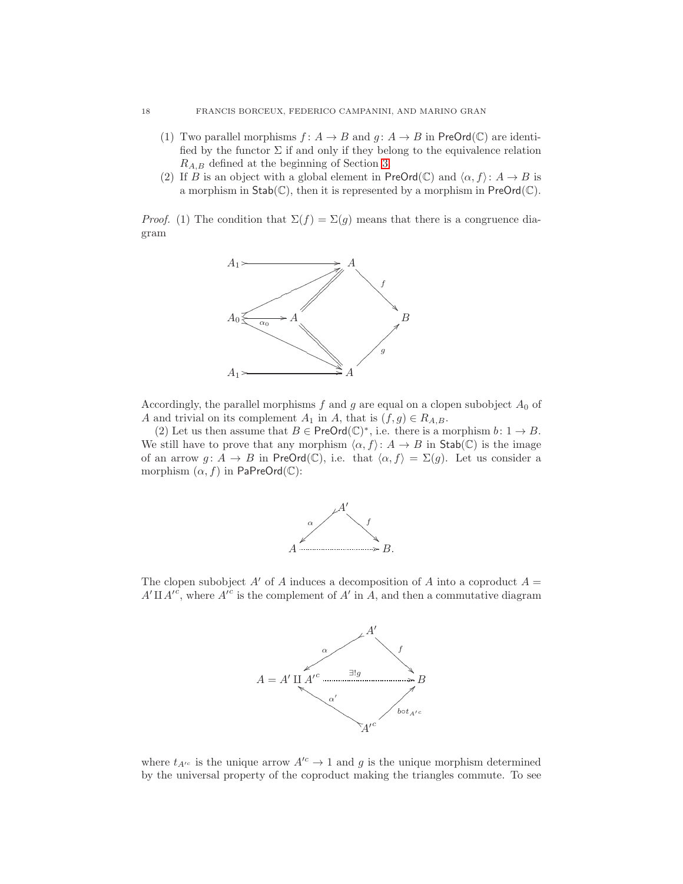- (1) Two parallel morphisms  $f: A \to B$  and  $g: A \to B$  in PreOrd(C) are identified by the functor  $\Sigma$  if and only if they belong to the equivalence relation  $R_{A,B}$  defined at the beginning of Section [3.](#page-7-0)
- (2) If B is an object with a global element in  $PreOrd(\mathbb{C})$  and  $\langle \alpha, f \rangle: A \to B$  is a morphism in  $\text{Stab}(\mathbb{C})$ , then it is represented by a morphism in  $\text{PreOrd}(\mathbb{C})$ .

*Proof.* (1) The condition that  $\Sigma(f) = \Sigma(g)$  means that there is a congruence diagram



Accordingly, the parallel morphisms  $f$  and  $g$  are equal on a clopen subobject  $A_0$  of A and trivial on its complement  $A_1$  in A, that is  $(f, g) \in R_{A,B}$ .

(2) Let us then assume that  $B \in \mathsf{PreOrd}(\mathbb{C})^*$ , i.e. there is a morphism  $b: 1 \to B$ . We still have to prove that any morphism  $\langle \alpha, f \rangle : A \to B$  in Stab(C) is the image of an arrow  $g: A \to B$  in PreOrd(C), i.e. that  $\langle \alpha, f \rangle = \Sigma(g)$ . Let us consider a morphism  $(\alpha, f)$  in PaPreOrd( $\mathbb{C}$ ):



The clopen subobject  $A'$  of A induces a decomposition of A into a coproduct  $A =$  $A' \amalg A'^c$ , where  $A^{i^c}$  is the complement of  $A'$  in  $A$ , and then a commutative diagram



where  $t_{A'^c}$  is the unique arrow  $A'^c \to 1$  and g is the unique morphism determined by the universal property of the coproduct making the triangles commute. To see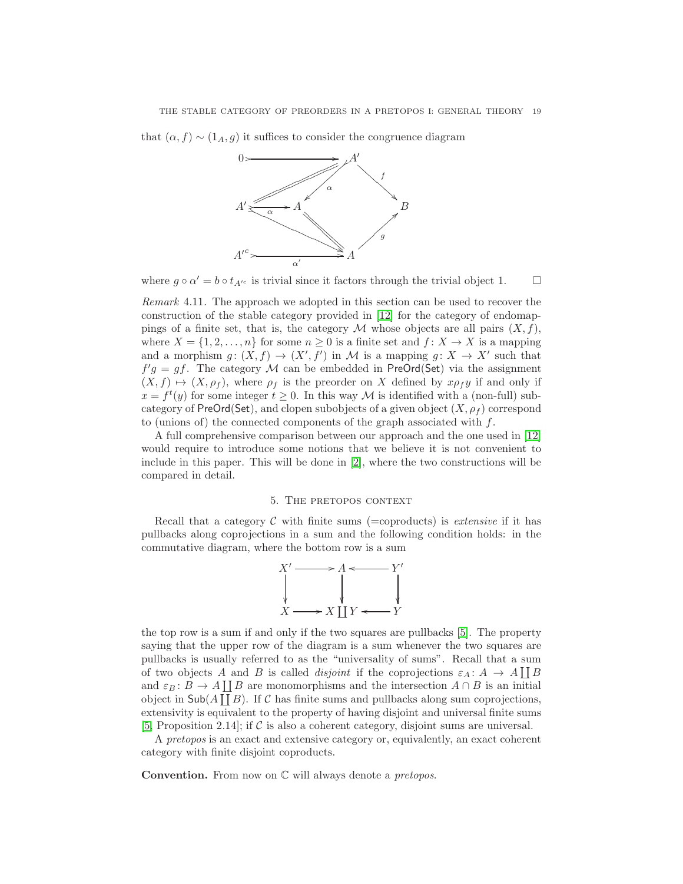that  $(\alpha, f) \sim (1_A, g)$  it suffices to consider the congruence diagram



where  $g \circ \alpha' = b \circ t_{A'^c}$  is trivial since it factors through the trivial object 1.  $\Box$ 

Remark 4.11. The approach we adopted in this section can be used to recover the construction of the stable category provided in [\[12\]](#page-34-19) for the category of endomappings of a finite set, that is, the category M whose objects are all pairs  $(X, f)$ , where  $X = \{1, 2, \ldots, n\}$  for some  $n \geq 0$  is a finite set and  $f: X \to X$  is a mapping and a morphism  $g: (X, f) \to (X', f')$  in M is a mapping  $g: X \to X'$  such that  $f'g = gf$ . The category M can be embedded in PreOrd(Set) via the assignment  $(X, f) \mapsto (X, \rho_f)$ , where  $\rho_f$  is the preorder on X defined by  $x \rho_f y$  if and only if  $x = f<sup>t</sup>(y)$  for some integer  $t \ge 0$ . In this way M is identified with a (non-full) subcategory of PreOrd(Set), and clopen subobjects of a given object  $(X, \rho_f)$  correspond to (unions of) the connected components of the graph associated with  $f$ .

A full comprehensive comparison between our approach and the one used in [\[12\]](#page-34-19) would require to introduce some notions that we believe it is not convenient to include in this paper. This will be done in [\[2\]](#page-34-20), where the two constructions will be compared in detail.

## 5. The pretopos context

<span id="page-18-0"></span>Recall that a category  $\mathcal C$  with finite sums (=coproducts) is extensive if it has pullbacks along coprojections in a sum and the following condition holds: in the commutative diagram, where the bottom row is a sum



the top row is a sum if and only if the two squares are pullbacks [\[5\]](#page-34-21). The property saying that the upper row of the diagram is a sum whenever the two squares are pullbacks is usually referred to as the "universality of sums". Recall that a sum of two objects A and B is called *disjoint* if the coprojections  $\varepsilon_A : A \to A \coprod B$ and  $\varepsilon_B: B \to A \coprod B$  are monomorphisms and the intersection  $A \cap B$  is an initial object in  $\mathsf{Sub}(A \coprod B)$ . If C has finite sums and pullbacks along sum coprojections, extensivity is equivalent to the property of having disjoint and universal finite sums [\[5,](#page-34-21) Proposition 2.14]; if  $\mathcal C$  is also a coherent category, disjoint sums are universal.

A pretopos is an exact and extensive category or, equivalently, an exact coherent category with finite disjoint coproducts.

**Convention.** From now on  $\mathbb C$  will always denote a *pretopos*.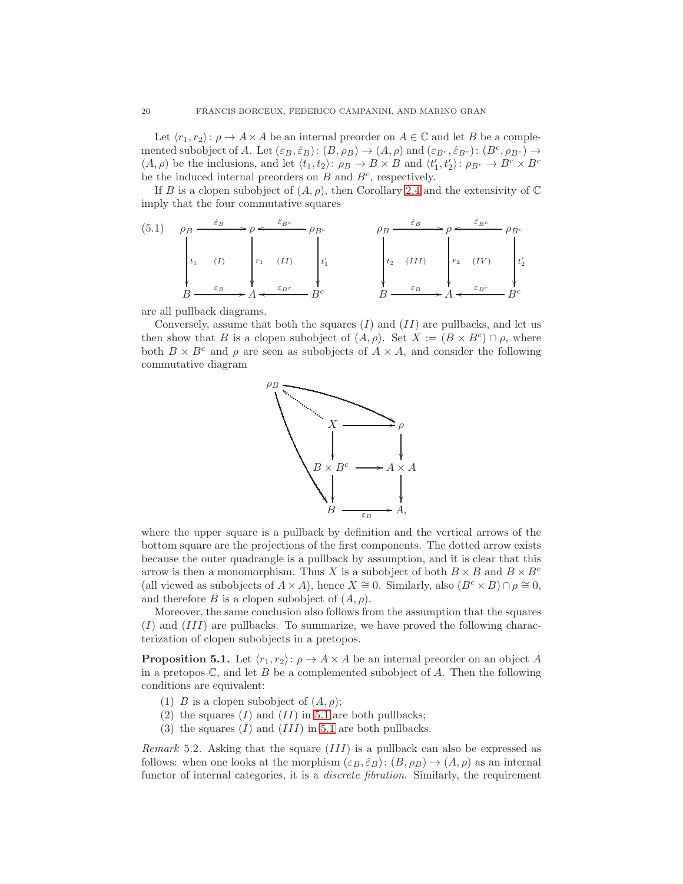Let  $\langle r_1, r_2 \rangle: \rho \to A \times A$  be an internal preorder on  $A \in \mathbb{C}$  and let B be a complemented subobject of A. Let  $(\varepsilon_B, \hat{\varepsilon}_B) : (B, \rho_B) \to (A, \rho)$  and  $(\varepsilon_{B^c}, \hat{\varepsilon}_{B^c}) : (B^c, \rho_{B^c}) \to$  $(A, \rho)$  be the inclusions, and let  $\langle t_1, t_2 \rangle \colon \rho_B \to B \times B$  and  $\langle t'_1, t'_2 \rangle \colon \rho_{B^c} \to B^c \times B^c$ be the induced internal preorders on  $B$  and  $B<sup>c</sup>$ , respectively.

If B is a clopen subobject of  $(A, \rho)$ , then Corollary [2.4](#page-7-1) and the extensivity of  $\mathbb C$ imply that the four commutative squares

<span id="page-19-0"></span>(5.1) 
$$
\rho_B \xrightarrow{\hat{\varepsilon}_B} \rho \xleftarrow{\hat{\varepsilon}_{B^c}} \rho_{B^c}
$$
  $\rho_B \xrightarrow{\hat{\varepsilon}_B} \rho \xleftarrow{\hat{\varepsilon}_{B^c}} \rho_{B^c}$   
\n $t_1$  (I)  $t_1$  (II)  $t_1$   $t_2$  (III)  $t_2$  (IV)  $t_2$  (IV)  
\n $B \xrightarrow{\varepsilon_B} A \xleftarrow{\varepsilon_{B^c}} B^c$   $B \xrightarrow{\varepsilon_B} A \xleftarrow{\varepsilon_{B^c}} B^c$ 

are all pullback diagrams.

Conversely, assume that both the squares  $(I)$  and  $(II)$  are pullbacks, and let us then show that B is a clopen subobject of  $(A, \rho)$ . Set  $X := (B \times B^c) \cap \rho$ , where both  $B \times B^c$  and  $\rho$  are seen as subobjects of  $A \times A$ , and consider the following commutative diagram



where the upper square is a pullback by definition and the vertical arrows of the bottom square are the projections of the first components. The dotted arrow exists because the outer quadrangle is a pullback by assumption, and it is clear that this arrow is then a monomorphism. Thus X is a subobject of both  $B \times B$  and  $B \times B^c$ (all viewed as subobjects of  $A \times A$ ), hence  $X \cong 0$ . Similarly, also  $(B<sup>c</sup> \times B) \cap \rho \cong 0$ , and therefore B is a clopen subobject of  $(A, \rho)$ .

Moreover, the same conclusion also follows from the assumption that the squares (I) and (III) are pullbacks. To summarize, we have proved the following characterization of clopen subobjects in a pretopos.

<span id="page-19-1"></span>**Proposition 5.1.** Let  $\langle r_1, r_2 \rangle: \rho \to A \times A$  be an internal preorder on an object A in a pretopos  $\mathbb{C}$ , and let B be a complemented subobject of A. Then the following conditions are equivalent:

- (1) B is a clopen subobject of  $(A, \rho)$ ;
- (2) the squares  $(I)$  and  $(II)$  in [5.1](#page-19-0) are both pullbacks;
- (3) the squares  $(I)$  and  $(III)$  in [5.1](#page-19-0) are both pullbacks.

*Remark* 5.2. Asking that the square  $(III)$  is a pullback can also be expressed as follows: when one looks at the morphism  $(\varepsilon_B, \hat{\varepsilon}_B)$ :  $(B, \rho_B) \rightarrow (A, \rho)$  as an internal functor of internal categories, it is a *discrete fibration*. Similarly, the requirement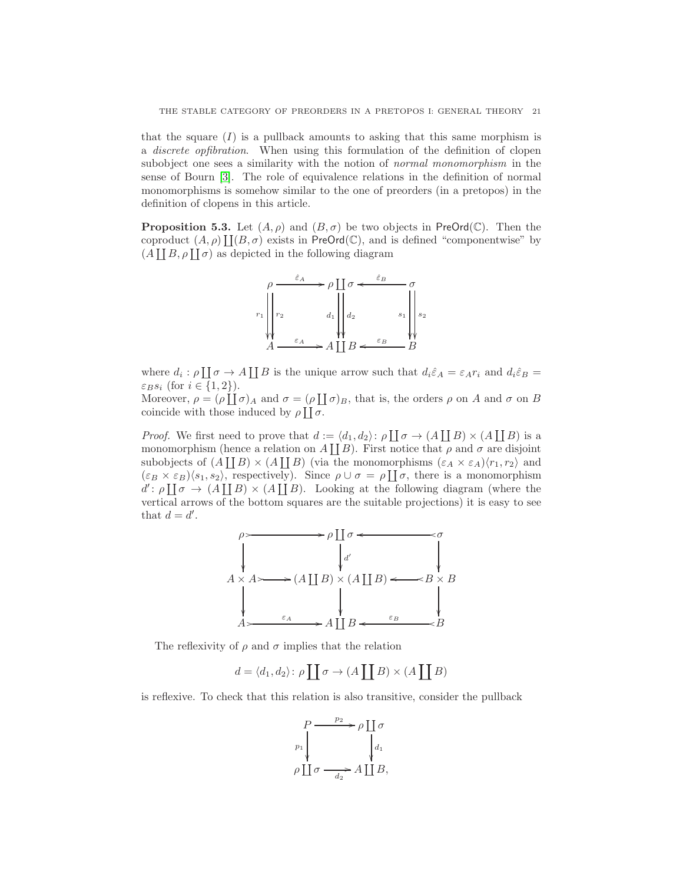that the square  $(I)$  is a pullback amounts to asking that this same morphism is a discrete opfibration. When using this formulation of the definition of clopen subobject one sees a similarity with the notion of *normal monomorphism* in the sense of Bourn [\[3\]](#page-34-22). The role of equivalence relations in the definition of normal monomorphisms is somehow similar to the one of preorders (in a pretopos) in the definition of clopens in this article.

<span id="page-20-0"></span>**Proposition 5.3.** Let  $(A, \rho)$  and  $(B, \sigma)$  be two objects in PreOrd(C). Then the coproduct  $(A, \rho) \coprod (B, \sigma)$  exists in PreOrd(C), and is defined "componentwise" by  $(A \coprod B, \rho \coprod \sigma)$  as depicted in the following diagram



where  $d_i : \rho \coprod \sigma \to A \coprod B$  is the unique arrow such that  $d_i \hat{\varepsilon}_A = \varepsilon_A r_i$  and  $d_i \hat{\varepsilon}_B =$  $\varepsilon_B s_i$  (for  $i \in \{1,2\}$ ).

Moreover,  $\rho = (\rho \coprod \sigma)_A$  and  $\sigma = (\rho \coprod \sigma)_B$ , that is, the orders  $\rho$  on A and  $\sigma$  on B coincide with those induced by  $\rho \coprod \sigma$ .

*Proof.* We first need to prove that  $d := \langle d_1, d_2 \rangle : \rho \coprod \sigma \to (A \coprod B) \times (A \coprod B)$  is a monomorphism (hence a relation on  $A \coprod B$ ). First notice that  $\rho$  and  $\sigma$  are disjoint subobjects of  $(A \coprod B) \times (A \coprod B)$  (via the monomorphisms  $(\varepsilon_A \times \varepsilon_A)(r_1, r_2)$ ) and  $(\varepsilon_B \times \varepsilon_B) \langle s_1, s_2 \rangle$ , respectively). Since  $\rho \cup \sigma = \rho \coprod \sigma$ , there is a monomorphism  $d' : \rho \coprod \sigma \to (A \coprod B) \times (A \coprod B)$ . Looking at the following diagram (where the vertical arrows of the bottom squares are the suitable projections) it is easy to see that  $d = d'$ .



The reflexivity of  $\rho$  and  $\sigma$  implies that the relation

$$
d = \langle d_1, d_2 \rangle \colon \rho \coprod \sigma \to (A \coprod B) \times (A \coprod B)
$$

is reflexive. To check that this relation is also transitive, consider the pullback

$$
P \xrightarrow{p_2} \rho \coprod \sigma
$$
  
\n
$$
\rho \coprod \sigma \xrightarrow{d_2} A \coprod B,
$$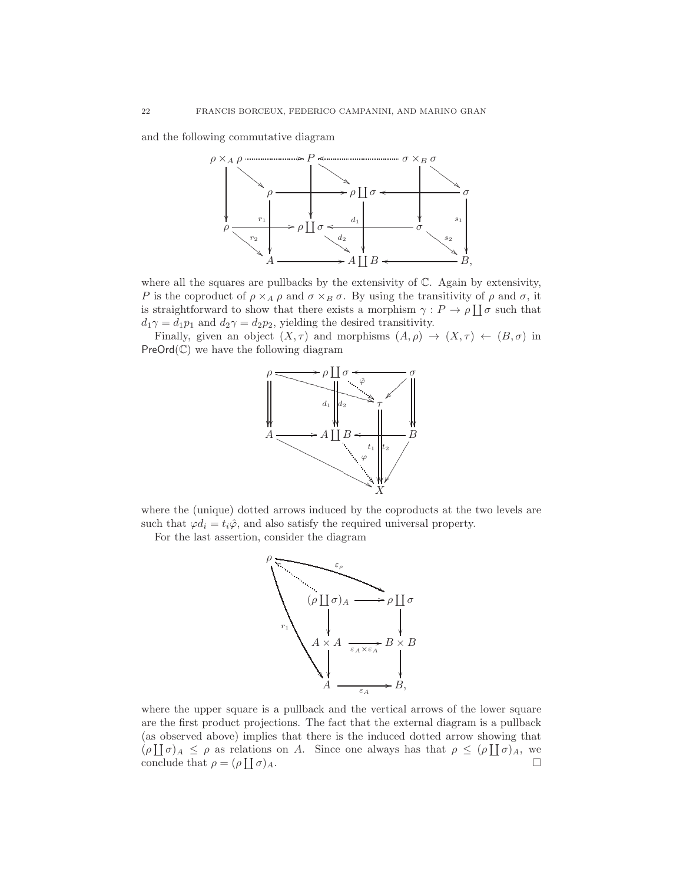and the following commutative diagram



where all the squares are pullbacks by the extensivity of  $\mathbb{C}$ . Again by extensivity, P is the coproduct of  $\rho \times_A \rho$  and  $\sigma \times_B \sigma$ . By using the transitivity of  $\rho$  and  $\sigma$ , it is straightforward to show that there exists a morphism  $\gamma: P \to \rho \coprod \sigma$  such that  $d_1\gamma = d_1p_1$  and  $d_2\gamma = d_2p_2$ , yielding the desired transitivity.

Finally, given an object  $(X, \tau)$  and morphisms  $(A, \rho) \to (X, \tau) \leftarrow (B, \sigma)$  in  $PreOrd(\mathbb{C})$  we have the following diagram



where the (unique) dotted arrows induced by the coproducts at the two levels are such that  $\varphi d_i = t_i \hat{\varphi}$ , and also satisfy the required universal property.

For the last assertion, consider the diagram



where the upper square is a pullback and the vertical arrows of the lower square are the first product projections. The fact that the external diagram is a pullback (as observed above) implies that there is the induced dotted arrow showing that  $(\rho \coprod \sigma)_A \leq \rho$  as relations on A. Since one always has that  $\rho \leq (\rho \coprod \sigma)_A$ , we conclude that  $\rho = (\rho \coprod)$  $\sigma$ )<sub>A</sub>.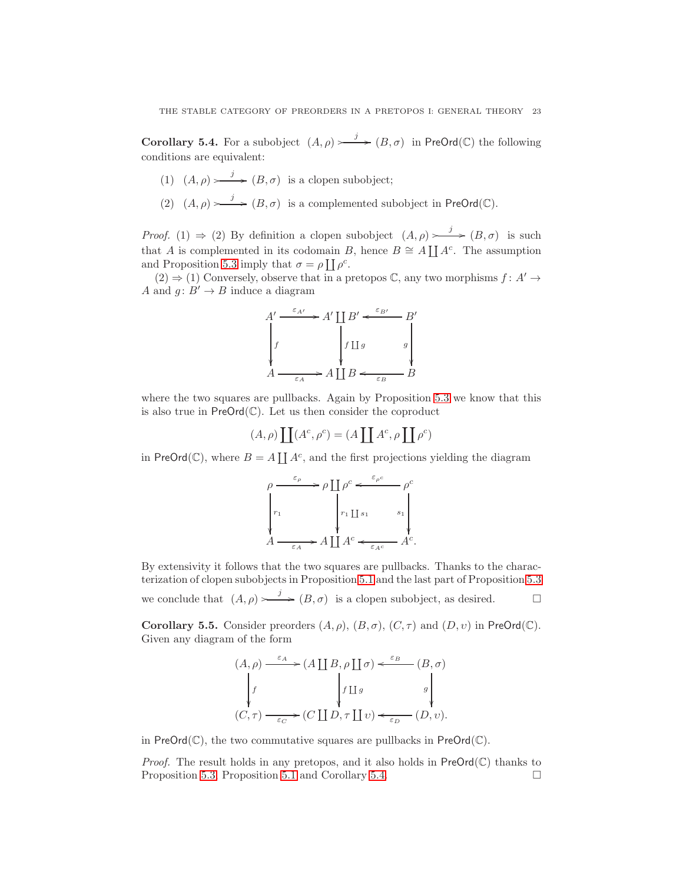<span id="page-22-0"></span>**Corollary 5.4.** For a subobject  $(A, \rho) \longrightarrow (B, \sigma)$  in PreOrd(C) the following conditions are equivalent:

- (1)  $(A, \rho) \longrightarrow (B, \sigma)$  is a clopen subobject;
- (2)  $(A, \rho) \longrightarrow (B, \sigma)$  is a complemented subobject in PreOrd(C).

*Proof.* (1)  $\Rightarrow$  (2) By definition a clopen subobject  $(A, \rho) \rightarrow \rightarrow (B, \sigma)$  is such that A is complemented in its codomain B, hence  $B \cong A \coprod A^c$ . The assumption and Proposition [5.3](#page-20-0) imply that  $\sigma = \rho \coprod \rho^c$ .

 $(2) \Rightarrow (1)$  Conversely, observe that in a pretopos C, any two morphisms  $f: A' \rightarrow$ A and  $g: B' \to B$  induce a diagram

$$
A' \xrightarrow{\varepsilon_{A'}} A' \coprod B' \xleftarrow{\varepsilon_{B'}} B'
$$
  
\n
$$
\downarrow f \qquad \qquad f \coprod g \qquad \qquad g \qquad \qquad g
$$
  
\n
$$
A \xrightarrow{\varepsilon_A} A \coprod B \xleftarrow{\varepsilon_B} B
$$

where the two squares are pullbacks. Again by Proposition [5.3](#page-20-0) we know that this is also true in  $PreOrd(\mathbb{C})$ . Let us then consider the coproduct

$$
(A, \rho) \coprod (A^c, \rho^c) = (A \coprod A^c, \rho \coprod \rho^c)
$$

in PreOrd( $\mathbb{C}$ ), where  $B = A \coprod A^c$ , and the first projections yielding the diagram

$$
\rho \xrightarrow{\varepsilon_{\rho}} \rho \coprod \rho^{c} \xleftarrow{\varepsilon_{\rho^{c}}} \rho^{c}
$$
\n
$$
\begin{vmatrix}\nr_1 & \r_1 \r_1 \r_1 & s_1 \\
r_2 \r_1 \r_1 & s_2 \r_1 \\
r_3 \r_2 \r_3 & r_3\n\end{vmatrix}
$$
\n
$$
A \xrightarrow{\varepsilon_A} A \coprod A^{c} \xleftarrow{\varepsilon_{A^{c}}} A^{c}.
$$

By extensivity it follows that the two squares are pullbacks. Thanks to the characterization of clopen subobjects in Proposition [5.1](#page-19-1) and the last part of Proposition [5.3](#page-20-0) we conclude that  $(A, \rho) \longrightarrow (B, \sigma)$  is a clopen subobject, as desired.

<span id="page-22-1"></span>Corollary 5.5. Consider preorders  $(A, \rho), (B, \sigma), (C, \tau)$  and  $(D, \nu)$  in PreOrd(C). Given any diagram of the form

$$
(A, \rho) \xrightarrow{\varepsilon_A} (A \coprod B, \rho \coprod \sigma) \xleftarrow{\varepsilon_B} (B, \sigma)
$$

$$
\downarrow f \qquad \qquad f \coprod g \qquad \qquad g \downarrow
$$

$$
(C, \tau) \xrightarrow{\varepsilon_C} (C \coprod D, \tau \coprod v) \xleftarrow{\varepsilon_D} (D, v).
$$

in  $PreOrd(\mathbb{C})$ , the two commutative squares are pullbacks in  $PreOrd(\mathbb{C})$ .

*Proof.* The result holds in any pretopos, and it also holds in  $PreOrd(\mathbb{C})$  thanks to Proposition [5.3,](#page-20-0) Proposition [5.1](#page-19-1) and Corollary [5.4.](#page-22-0)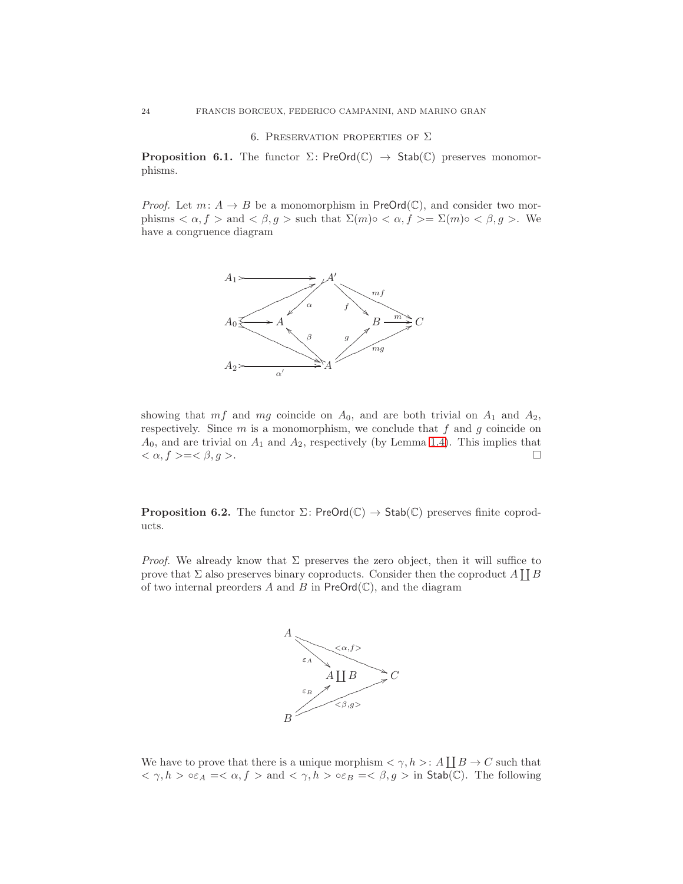### 6. PRESERVATION PROPERTIES OF  $\Sigma$

<span id="page-23-1"></span>**Proposition 6.1.** The functor  $\Sigma$ : PreOrd( $\mathbb{C}$ )  $\rightarrow$  Stab( $\mathbb{C}$ ) preserves monomorphisms.

*Proof.* Let  $m: A \rightarrow B$  be a monomorphism in PreOrd( $\mathbb{C}$ ), and consider two morphisms  $\langle \alpha, f \rangle$  and  $\langle \beta, g \rangle$  such that  $\Sigma(m) \circ \langle \alpha, f \rangle = \Sigma(m) \circ \langle \beta, g \rangle$ . We have a congruence diagram



showing that  $mf$  and  $mg$  coincide on  $A_0$ , and are both trivial on  $A_1$  and  $A_2$ , respectively. Since  $m$  is a monomorphism, we conclude that  $f$  and  $g$  coincide on  $A_0$ , and are trivial on  $A_1$  and  $A_2$ , respectively (by Lemma [1.4\)](#page-5-2). This implies that  $\langle \alpha, f \rangle = \langle \beta, g \rangle.$ 

<span id="page-23-0"></span>**Proposition 6.2.** The functor  $\Sigma$ : PreOrd( $\mathbb{C}$ )  $\rightarrow$  Stab( $\mathbb{C}$ ) preserves finite coproducts.

*Proof.* We already know that  $\Sigma$  preserves the zero object, then it will suffice to prove that  $\Sigma$  also preserves binary coproducts. Consider then the coproduct  $A \coprod B$ of two internal preorders A and B in  $PreOrd(\mathbb{C})$ , and the diagram



We have to prove that there is a unique morphism  $\langle \gamma, h \rangle : A \coprod B \to C$  such that  $\langle \gamma, h \rangle \circ \varepsilon_A = \langle \alpha, f \rangle$  and  $\langle \gamma, h \rangle \circ \varepsilon_B = \langle \beta, g \rangle$  in Stab(C). The following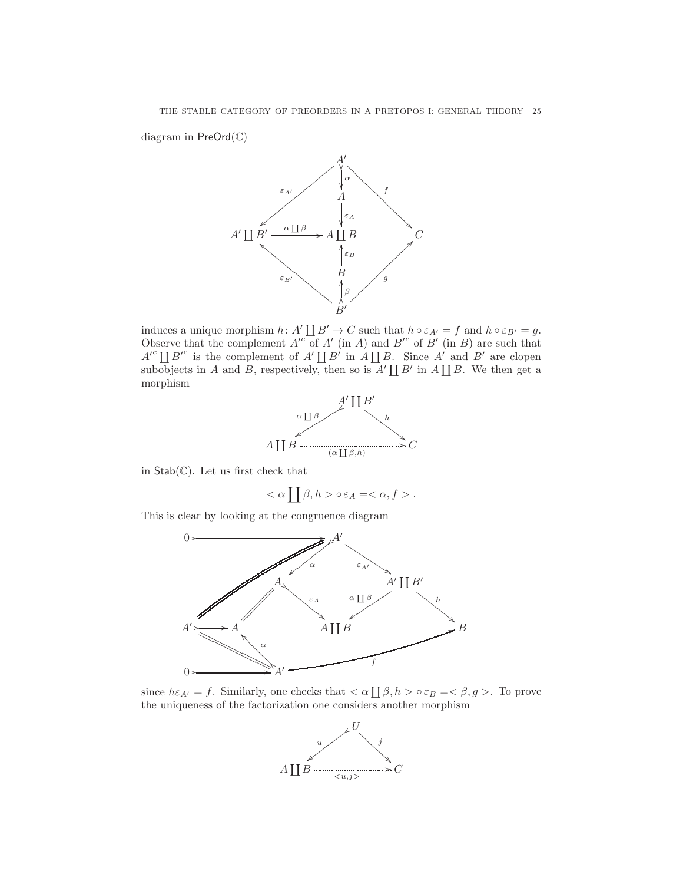diagram in PreOrd(C)



induces a unique morphism  $h: A' \coprod B' \to C$  such that  $h \circ \varepsilon_{A'} = f$  and  $h \circ \varepsilon_{B'} = g$ . Observe that the complement  $A'^c$  of  $A'$  (in A) and  $B'^c$  of  $B'$  (in B) are such that  $A'^c \coprod B'^c$  is the complement of  $A' \coprod B'$  in  $A \coprod B$ . Since  $A'$  and  $B'$  are clopen subobjects in A and B, respectively, then so is  $A' \coprod B'$  in  $A \coprod B$ . We then get a morphism



in  $Stab(\mathbb{C})$ . Let us first check that

$$
<\alpha\coprod\beta, h>\circ \varepsilon_A=<\alpha, f>.
$$

This is clear by looking at the congruence diagram



since  $h\varepsilon_{A'} = f$ . Similarly, one checks that  $\langle \alpha | \Pi_{\beta}, h \rangle \circ \varepsilon_B = \langle \beta, g \rangle$ . To prove the uniqueness of the factorization one considers another morphism

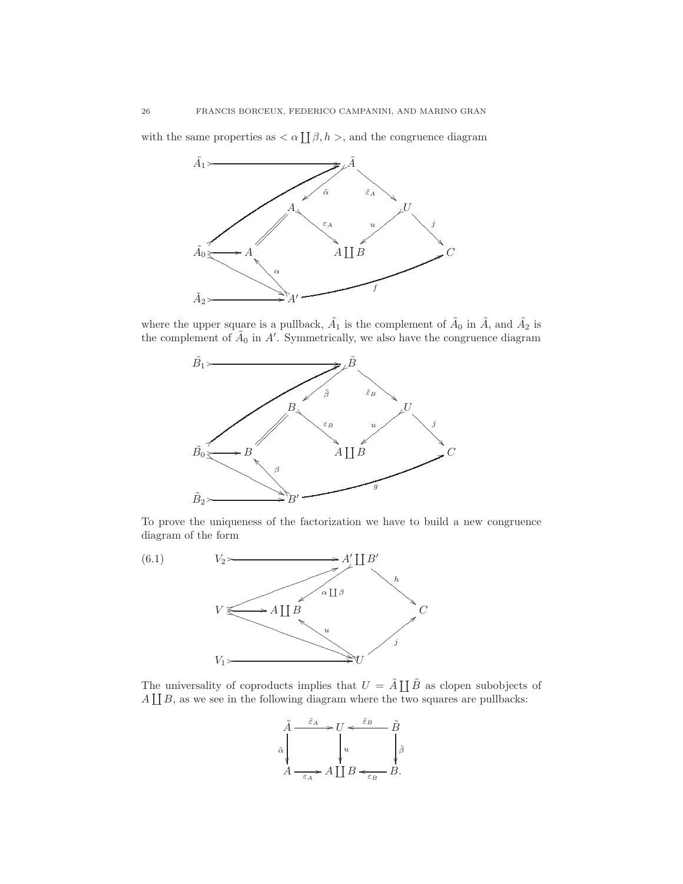with the same properties as  $\langle \alpha | \Pi_{\beta}, h \rangle$ , and the congruence diagram



where the upper square is a pullback,  $\tilde{A}_1$  is the complement of  $\tilde{A}_0$  in  $\tilde{A}$ , and  $\tilde{A}_2$  is the complement of  $\tilde{A}_0$  in A'. Symmetrically, we also have the congruence diagram



<span id="page-25-0"></span>To prove the uniqueness of the factorization we have to build a new congruence diagram of the form



The universality of coproducts implies that  $U = \tilde{A} \coprod \tilde{B}$  as clopen subobjects of  $A \coprod B$ , as we see in the following diagram where the two squares are pullbacks:

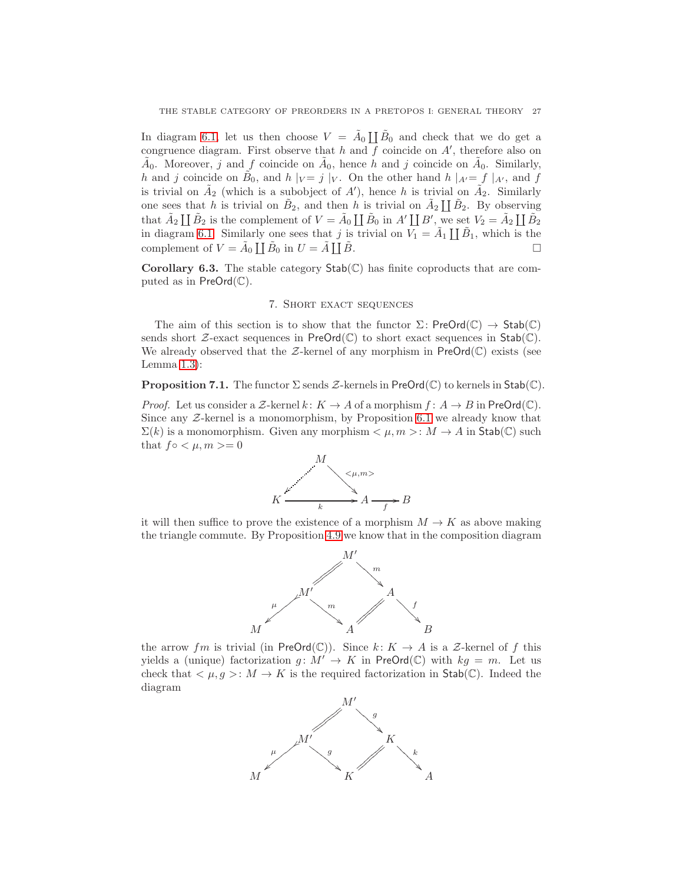In diagram [6.1,](#page-25-0) let us then choose  $V = \tilde{A}_0 \coprod \tilde{B}_0$  and check that we do get a congruence diagram. First observe that h and  $\overline{f}$  coincide on A', therefore also on  $\tilde{A}_0$ . Moreover, j and f coincide on  $\tilde{A}_0$ , hence h and j coincide on  $\tilde{A}_0$ . Similarly, h and j coincide on  $\tilde{B}_0$ , and h  $|_V = j |_V$ . On the other hand h  $|_{A'} = f |_{A'}$ , and f is trivial on  $\tilde{A}_2$  (which is a subobject of A'), hence h is trivial on  $\tilde{A}_2$ . Similarly one sees that h is trivial on  $\tilde{B}_2$ , and then h is trivial on  $\tilde{A}_2 \coprod \tilde{B}_2$ . By observing that  $\tilde{A}_2 \coprod \tilde{B}_2$  is the complement of  $V = \tilde{A}_0 \coprod \tilde{B}_0$  in  $A' \coprod B'$ , we set  $V_2 = \tilde{A}_2 \coprod \tilde{B}_2$ in diagram [6.1.](#page-25-0) Similarly one sees that j is trivial on  $\overline{V_1} = \tilde{A}_1 \coprod \tilde{B}_1$ , which is the complement of  $V = \tilde{A}_0 \coprod \tilde{B}_0$  in  $U = \tilde{A} \coprod$  $\tilde{B}$ .

<span id="page-26-0"></span>**Corollary 6.3.** The stable category  $Stab(\mathbb{C})$  has finite coproducts that are computed as in  $PreOrd(\mathbb{C}).$ 

## 7. Short exact sequences

The aim of this section is to show that the functor  $\Sigma$ : PreOrd( $\mathbb{C}$ )  $\rightarrow$  Stab( $\mathbb{C}$ ) sends short  $\mathcal{Z}\text{-exact}$  sequences in  $\mathsf{PreOrd}(\mathbb{C})$  to short exact sequences in  $\mathsf{Stab}(\mathbb{C})$ . We already observed that the  $\mathcal{Z}\text{-}\text{kernel}$  of any morphism in  $\text{PreOrd}(\mathbb{C})$  exists (see Lemma  $1.3$ :

<span id="page-26-1"></span>**Proposition 7.1.** The functor  $\Sigma$  sends  $\mathcal{Z}$ -kernels in PreOrd( $\mathbb{C}$ ) to kernels in Stab( $\mathbb{C}$ ).

*Proof.* Let us consider a Z-kernel  $k: K \to A$  of a morphism  $f: A \to B$  in PreOrd( $\mathbb{C}$ ). Since any  $Z$ -kernel is a monomorphism, by Proposition [6.1](#page-23-1) we already know that  $\Sigma(k)$  is a monomorphism. Given any morphism  $\lt \mu, m >: M \to A$  in  $\text{Stab}(\mathbb{C})$  such that  $f \circ \langle \mu, m \rangle = 0$ 



it will then suffice to prove the existence of a morphism  $M \to K$  as above making the triangle commute. By Proposition [4.9](#page-16-2) we know that in the composition diagram



the arrow fm is trivial (in PreOrd(C)). Since  $k: K \to A$  is a Z-kernel of f this yields a (unique) factorization  $g: M' \to K$  in PreOrd(C) with  $kg = m$ . Let us check that  $\langle \mu, g \rangle : M \to K$  is the required factorization in Stab(C). Indeed the diagram

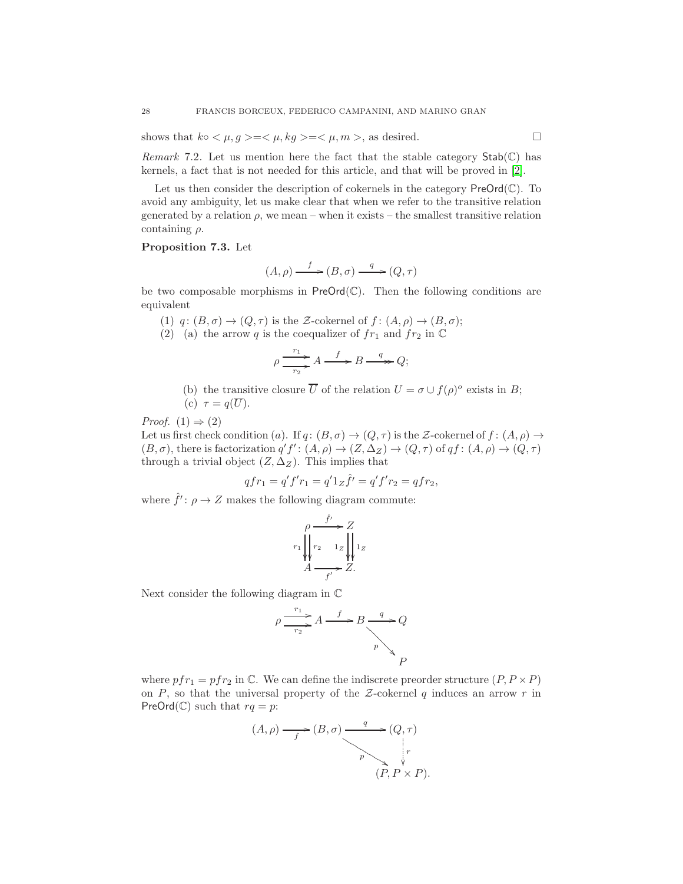shows that  $k \circ \langle \mu, g \rangle = \langle \mu, kg \rangle = \langle \mu, m \rangle$ , as desired.

Remark 7.2. Let us mention here the fact that the stable category  $Stab(\mathbb{C})$  has kernels, a fact that is not needed for this article, and that will be proved in [\[2\]](#page-34-20).

Let us then consider the description of cokernels in the category  $\mathsf{PreOrd}(\mathbb{C})$ . To avoid any ambiguity, let us make clear that when we refer to the transitive relation generated by a relation  $\rho$ , we mean – when it exists – the smallest transitive relation containing  $\rho$ .

## <span id="page-27-0"></span>Proposition 7.3. Let

$$
(A, \rho) \xrightarrow{f} (B, \sigma) \xrightarrow{q} (Q, \tau)
$$

be two composable morphisms in  $PreOrd(\mathbb{C})$ . Then the following conditions are equivalent

(1)  $q: (B, \sigma) \to (Q, \tau)$  is the Z-cokernel of  $f: (A, \rho) \to (B, \sigma)$ ;

(2) (a) the arrow q is the coequalizer of  $fr_1$  and  $fr_2$  in  $\mathbb C$ 

$$
\rho \xrightarrow{r_1} A \xrightarrow{f} B \xrightarrow{q} Q;
$$

(b) the transitive closure  $\overline{U}$  of the relation  $U = \sigma \cup f(\rho)^{\circ}$  exists in B;

(c) 
$$
\tau = q(\overline{U}).
$$

*Proof.*  $(1) \Rightarrow (2)$ 

Let us first check condition (a). If  $q: (B, \sigma) \to (Q, \tau)$  is the Z-cokernel of  $f: (A, \rho) \to$  $(B, \sigma)$ , there is factorization  $q'f' : (A, \rho) \to (Z, \Delta_Z) \to (Q, \tau)$  of  $qf : (A, \rho) \to (Q, \tau)$ through a trivial object  $(Z, \Delta_Z)$ . This implies that

$$
qfr_1 = q'f'r_1 = q'1_Z\hat{f}' = q'f'r_2 = qfr_2,
$$

where  $\hat{f}' : \rho \to Z$  makes the following diagram commute:

$$
\rho \xrightarrow{f'} Z
$$
  

$$
r_1 \bigvee_{1 \leq i \leq 1} r_2 \bigvee_{1 \leq i \leq 1} r_1
$$
  

$$
A \xrightarrow{f'} Z.
$$

Next consider the following diagram in C



where  $pfr_1 = pfr_2$  in C. We can define the indiscrete preorder structure  $(P, P \times P)$ on  $P$ , so that the universal property of the  $Z$ -cokernel  $q$  induces an arrow  $r$  in PreOrd( $\mathbb{C}$ ) such that  $rq = p$ :

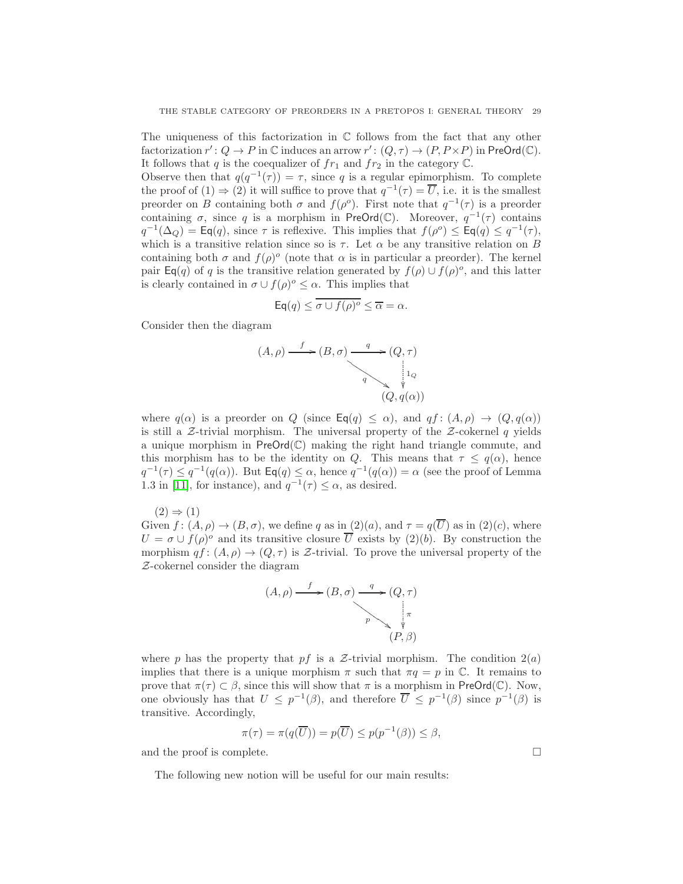The uniqueness of this factorization in  $\mathbb C$  follows from the fact that any other factorization  $r' : Q \to P$  in  $\mathbb C$  induces an arrow  $r' : (Q, \tau) \to (P, P \times P)$  in PreOrd $(\mathbb C)$ . It follows that q is the coequalizer of  $fr_1$  and  $fr_2$  in the category  $\mathbb C$ .

Observe then that  $q(q^{-1}(\tau)) = \tau$ , since q is a regular epimorphism. To complete the proof of  $(1) \Rightarrow (2)$  it will suffice to prove that  $q^{-1}(\tau) = \overline{U}$ , i.e. it is the smallest preorder on B containing both  $\sigma$  and  $f(\rho^o)$ . First note that  $q^{-1}(\tau)$  is a preorder containing  $\sigma$ , since q is a morphism in PreOrd(C). Moreover,  $q^{-1}(\tau)$  contains  $q^{-1}(\Delta_Q) = \mathsf{Eq}(q)$ , since  $\tau$  is reflexive. This implies that  $f(\rho^o) \leq \mathsf{Eq}(q) \leq q^{-1}(\tau)$ , which is a transitive relation since so is  $\tau$ . Let  $\alpha$  be any transitive relation on B containing both  $\sigma$  and  $f(\rho)^\circ$  (note that  $\alpha$  is in particular a preorder). The kernel pair  $\textsf{Eq}(q)$  of q is the transitive relation generated by  $f(\rho) \cup f(\rho)^o$ , and this latter is clearly contained in  $\sigma \cup f(\rho)^{\circ} \leq \alpha$ . This implies that

$$
\mathsf{Eq}(q) \leq \overline{\sigma \cup f(\rho)^o} \leq \overline{\alpha} = \alpha.
$$

Consider then the diagram

$$
(A, \rho) \xrightarrow{f} (B, \sigma) \xrightarrow{q} (Q, \tau)
$$
\n
$$
q \xrightarrow{\gamma} \mathfrak{p} \mathfrak{p}
$$
\n
$$
(Q, q(\alpha))
$$

where  $q(\alpha)$  is a preorder on Q (since  $\mathsf{Eq}(q) \leq \alpha$ ), and  $qf : (A, \rho) \to (Q, q(\alpha))$ is still a  $Z$ -trivial morphism. The universal property of the  $Z$ -cokernel q yields a unique morphism in  $PreOrd(\mathbb{C})$  making the right hand triangle commute, and this morphism has to be the identity on Q. This means that  $\tau \leq q(\alpha)$ , hence  $q^{-1}(\tau) \leq q^{-1}(q(\alpha))$ . But  $\textsf{Eq}(q) \leq \alpha$ , hence  $q^{-1}(q(\alpha)) = \alpha$  (see the proof of Lemma 1.3 in [\[11\]](#page-34-2), for instance), and  $q^{-1}(\tau) \leq \alpha$ , as desired.

 $(2) \Rightarrow (1)$ 

Given  $f: (A, \rho) \to (B, \sigma)$ , we define q as in  $(2)(a)$ , and  $\tau = q(\overline{U})$  as in  $(2)(c)$ , where  $U = \sigma \cup f(\rho)^{\circ}$  and its transitive closure  $\overline{U}$  exists by (2)(b). By construction the morphism  $qf: (A, \rho) \to (Q, \tau)$  is Z-trivial. To prove the universal property of the Z-cokernel consider the diagram



where p has the property that pf is a Z-trivial morphism. The condition  $2(a)$ implies that there is a unique morphism  $\pi$  such that  $\pi q = p$  in  $\mathbb{C}$ . It remains to prove that  $\pi(\tau) \subset \beta$ , since this will show that  $\pi$  is a morphism in PreOrd(C). Now, one obviously has that  $U \leq p^{-1}(\beta)$ , and therefore  $\overline{U} \leq p^{-1}(\beta)$  since  $p^{-1}(\beta)$  is transitive. Accordingly,

$$
\pi(\tau) = \pi(q(\overline{U})) = p(\overline{U}) \le p(p^{-1}(\beta)) \le \beta,
$$

and the proof is complete.  $\Box$ 

The following new notion will be useful for our main results: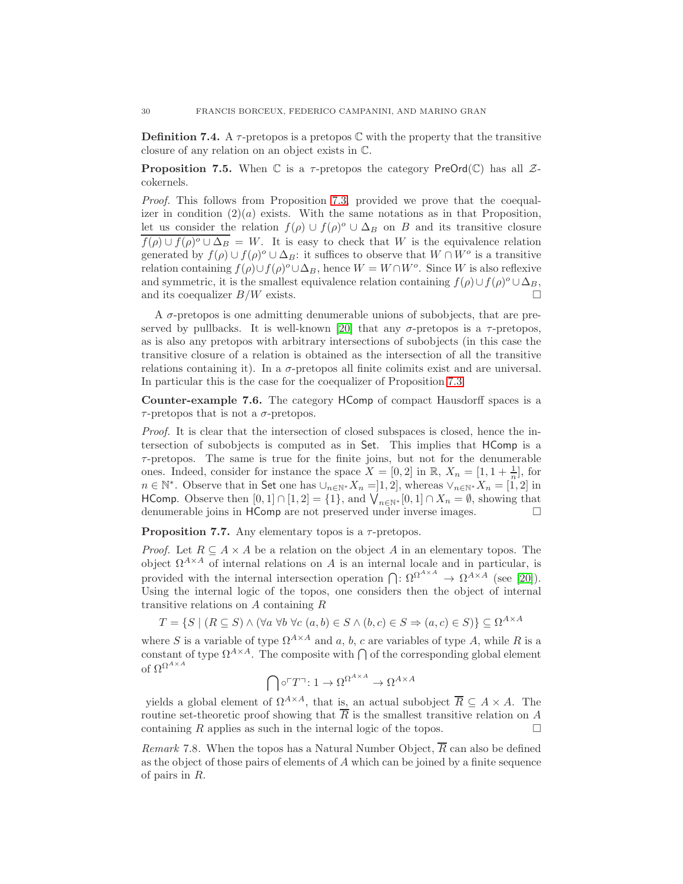**Definition 7.4.** A  $\tau$ -pretopos is a pretopos  $\mathbb C$  with the property that the transitive closure of any relation on an object exists in C.

<span id="page-29-1"></span>**Proposition 7.5.** When  $\mathbb C$  is a  $\tau$ -pretopos the category PreOrd( $\mathbb C$ ) has all  $\mathcal Z$ cokernels.

Proof. This follows from Proposition [7.3,](#page-27-0) provided we prove that the coequalizer in condition  $(2)(a)$  exists. With the same notations as in that Proposition, let us consider the relation  $f(\rho) \cup f(\rho)^{\circ} \cup \Delta_B$  on B and its transitive closure  $f(\rho) \cup f(\rho) \circ \cup \Delta_B = W$ . It is easy to check that W is the equivalence relation generated by  $f(\rho) \cup f(\rho)^{o} \cup \Delta_B$ : it suffices to observe that  $W \cap W^o$  is a transitive relation containing  $f(\rho) \cup f(\rho)^\circ \cup \Delta_B$ , hence  $W = W \cap W^\circ$ . Since W is also reflexive and symmetric, it is the smallest equivalence relation containing  $f(\rho) \cup f(\rho)^{\circ} \cup \Delta_B$ , and its coequalizer  $B/W$  exists.

A  $\sigma$ -pretopos is one admitting denumerable unions of subobjects, that are pre-served by pullbacks. It is well-known [\[20\]](#page-34-8) that any  $\sigma$ -pretopos is a  $\tau$ -pretopos, as is also any pretopos with arbitrary intersections of subobjects (in this case the transitive closure of a relation is obtained as the intersection of all the transitive relations containing it). In a σ-pretopos all finite colimits exist and are universal. In particular this is the case for the coequalizer of Proposition [7.3.](#page-27-0)

<span id="page-29-0"></span>Counter-example 7.6. The category HComp of compact Hausdorff spaces is a  $\tau$ -pretopos that is not a  $\sigma$ -pretopos.

Proof. It is clear that the intersection of closed subspaces is closed, hence the intersection of subobjects is computed as in Set. This implies that HComp is a  $\tau$ -pretopos. The same is true for the finite joins, but not for the denumerable ones. Indeed, consider for instance the space  $X = [0, 2]$  in  $\mathbb{R}, X_n = [1, 1 + \frac{1}{n}]$ , for  $n \in \mathbb{N}^*$ . Observe that in Set one has  $\cup_{n \in \mathbb{N}^*} X_n = ]1, 2]$ , whereas  $\vee_{n \in \mathbb{N}^*} X_n = [1, 2]$  in HComp. Observe then  $[0,1] \cap [1,2] = \{1\}$ , and  $\bigvee_{n \in \mathbb{N}^*} [0,1] \cap X_n = \emptyset$ , showing that denumerable joins in HComp are not preserved under inverse images.

**Proposition 7.7.** Any elementary topos is a  $\tau$ -pretopos.

*Proof.* Let  $R \subseteq A \times A$  be a relation on the object A in an elementary topos. The object  $\Omega^{A \times A}$  of internal relations on A is an internal locale and in particular, is provided with the internal intersection operation  $\bigcap: \Omega^{\Omega^{A \times A}} \to \Omega^{A \times A}$  (see [\[20\]](#page-34-8)). Using the internal logic of the topos, one considers then the object of internal transitive relations on A containing R

 $T = \{S \mid (R \subseteq S) \land (\forall a \forall b \forall c \ (a, b) \in S \land (b, c) \in S \Rightarrow (a, c) \in S)\}\subseteq \Omega^{A \times A}$ 

where S is a variable of type  $\Omega^{A \times A}$  and a, b, c are variables of type A, while R is a constant of type  $\Omega^{A \times A}$ . The composite with  $\bigcap$  of the corresponding global element of  $\Omega^{\Omega^{A \times A}}$ 

$$
\bigcap \circ^\sqcap T^\neg \colon 1 \to \Omega^{\Omega^{A \times A}} \to \Omega^{A \times A}
$$

yields a global element of  $\Omega^{A \times A}$ , that is, an actual subobject  $\overline{R} \subseteq A \times A$ . The routine set-theoretic proof showing that  $\overline{R}$  is the smallest transitive relation on A containing R applies as such in the internal logic of the topos.  $\Box$ 

*Remark* 7.8. When the topos has a Natural Number Object,  $\overline{R}$  can also be defined as the object of those pairs of elements of A which can be joined by a finite sequence of pairs in R.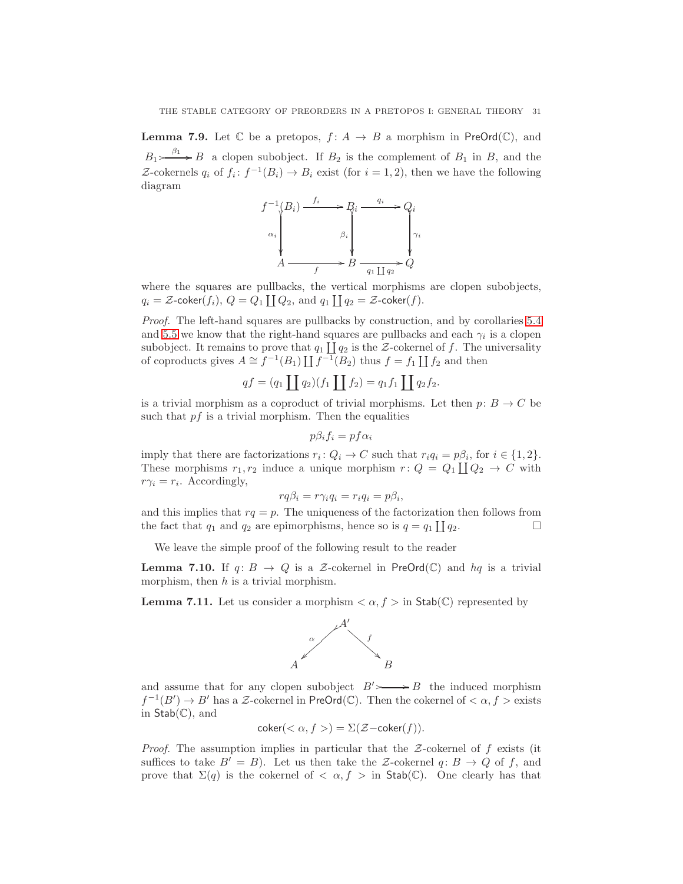<span id="page-30-0"></span>**Lemma 7.9.** Let  $\mathbb C$  be a pretopos,  $f: A \to B$  a morphism in PreOrd( $\mathbb C$ ), and  $B_1 \rightarrow B_1 \rightarrow B_2$  a clopen subobject. If  $B_2$  is the complement of  $B_1$  in B, and the Z-cokernels  $q_i$  of  $f_i: f^{-1}(B_i) \to B_i$  exist (for  $i = 1, 2$ ), then we have the following diagram



where the squares are pullbacks, the vertical morphisms are clopen subobjects,  $q_i = \mathcal{Z}\text{-coker}(f_i), Q = Q_1 \coprod Q_2, \text{ and } q_1 \coprod q_2 = \mathcal{Z}\text{-coker}(f).$ 

Proof. The left-hand squares are pullbacks by construction, and by corollaries [5.4](#page-22-0) and [5.5](#page-22-1) we know that the right-hand squares are pullbacks and each  $\gamma_i$  is a clopen subobject. It remains to prove that  $q_1 \coprod q_2$  is the Z-cokernel of f. The universality of coproducts gives  $A \cong f^{-1}(B_1) \coprod f^{-1}(B_2)$  thus  $f = f_1 \coprod f_2$  and then

$$
qf = (q_1 \coprod q_2)(f_1 \coprod f_2) = q_1 f_1 \coprod q_2 f_2.
$$

is a trivial morphism as a coproduct of trivial morphisms. Let then  $p: B \to C$  be such that  $pf$  is a trivial morphism. Then the equalities

$$
p\beta_i f_i = p f \alpha_i
$$

imply that there are factorizations  $r_i: Q_i \to C$  such that  $r_i q_i = p\beta_i$ , for  $i \in \{1, 2\}$ . These morphisms  $r_1, r_2$  induce a unique morphism  $r: Q = Q_1 \coprod Q_2 \to C$  with  $r\gamma_i = r_i$ . Accordingly,

$$
rq\beta_i = r\gamma_i q_i = r_i q_i = p\beta_i,
$$

and this implies that  $rq = p$ . The uniqueness of the factorization then follows from the fact that  $q_1$  and  $q_2$  are epimorphisms, hence so is  $q = q_1 \coprod q_2$ .

We leave the simple proof of the following result to the reader

**Lemma 7.10.** If  $q: B \to Q$  is a Z-cokernel in PreOrd(C) and  $hq$  is a trivial morphism, then  $h$  is a trivial morphism.

<span id="page-30-1"></span>**Lemma 7.11.** Let us consider a morphism  $\langle \alpha, f \rangle$  in Stab(C) represented by



and assume that for any clopen subobject  $B' \rightarrow B$  the induced morphism  $f^{-1}(B') \to B'$  has a Z-cokernel in PreOrd(C). Then the cokernel of  $\langle \alpha, f \rangle$  exists in  $Stab(\mathbb{C})$ , and

$$
coker(<\alpha, f>) = \Sigma(\mathcal{Z}-coker(f)).
$$

*Proof.* The assumption implies in particular that the  $Z$ -cokernel of f exists (it suffices to take  $B' = B$ ). Let us then take the Z-cokernel  $q: B \to Q$  of f, and prove that  $\Sigma(q)$  is the cokernel of  $\langle \alpha, f \rangle$  in Stab(C). One clearly has that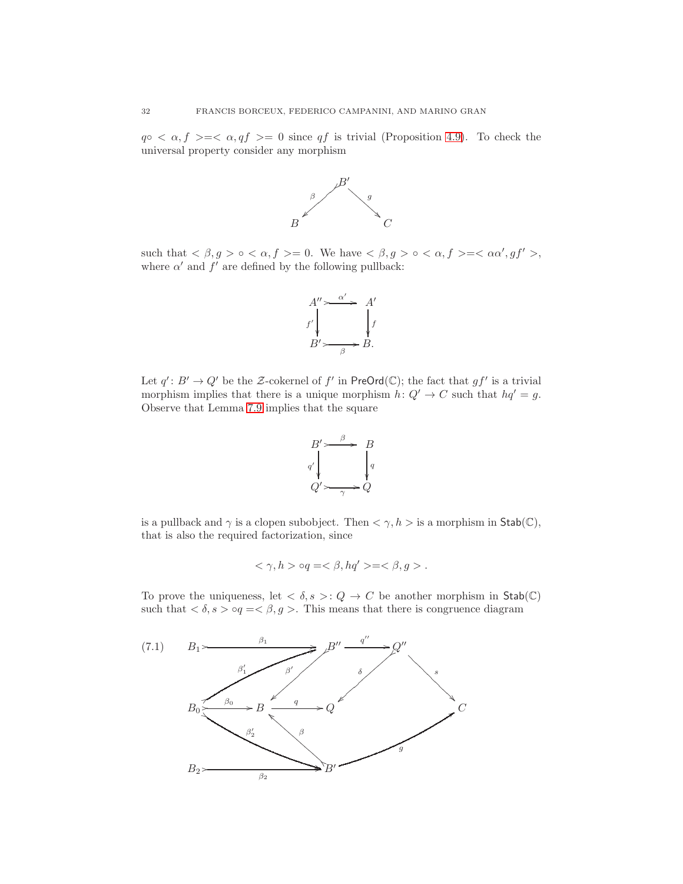$q \circ \langle \alpha, f \rangle = \langle \alpha, qf \rangle = 0$  since qf is trivial (Proposition [4.9\)](#page-16-2). To check the universal property consider any morphism



such that  $\langle \beta, g \rangle \circ \langle \alpha, f \rangle = 0$ . We have  $\langle \beta, g \rangle \circ \langle \alpha, f \rangle = \langle \alpha \alpha', gf' \rangle$ , where  $\alpha'$  and  $f'$  are defined by the following pullback:



Let  $q' : B' \to Q'$  be the Z-cokernel of f' in PreOrd(C); the fact that  $gf'$  is a trivial morphism implies that there is a unique morphism  $h: Q' \to C$  such that  $hq' = g$ . Observe that Lemma [7.9](#page-30-0) implies that the square



is a pullback and  $\gamma$  is a clopen subobject. Then  $\langle \gamma, h \rangle$  is a morphism in Stab( $\mathbb{C}$ ), that is also the required factorization, since

$$
\langle \gamma, h \rangle \circ q = \langle \beta, hq' \rangle = \langle \beta, g \rangle.
$$

To prove the uniqueness, let  $\langle \delta, s \rangle : Q \to C$  be another morphism in Stab(C) such that  $\langle \delta, s \rangle \circ q = \langle \beta, g \rangle$ . This means that there is congruence diagram

<span id="page-31-0"></span>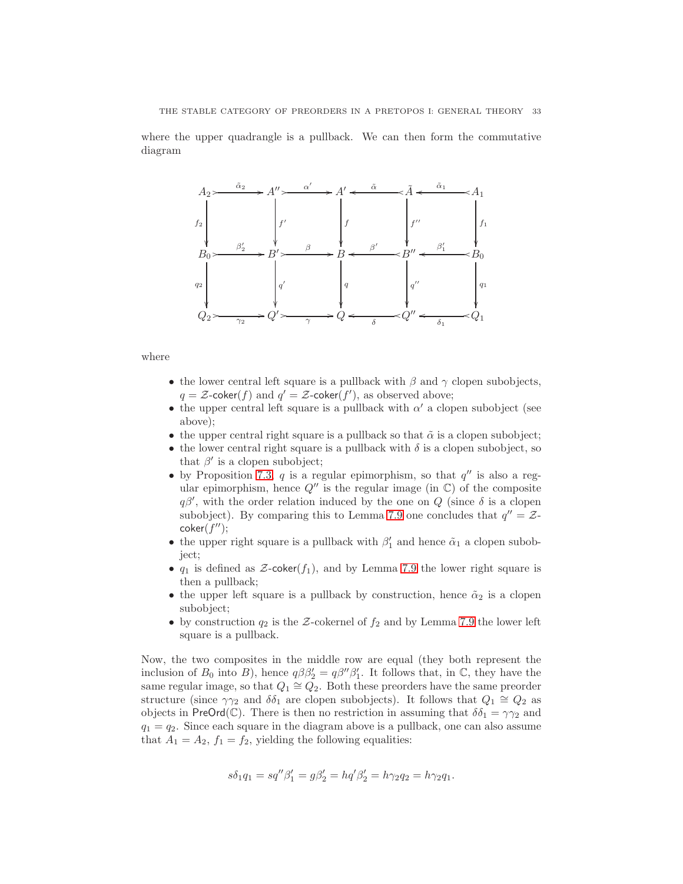where the upper quadrangle is a pullback. We can then form the commutative diagram



## where

- the lower central left square is a pullback with  $\beta$  and  $\gamma$  clopen subobjects,  $q = \mathcal{Z}\text{-coker}(f)$  and  $q' = \mathcal{Z}\text{-coker}(f')$ , as observed above;
- the upper central left square is a pullback with  $\alpha'$  a clopen subobject (see above);
- the upper central right square is a pullback so that  $\tilde{\alpha}$  is a clopen subobject;
- the lower central right square is a pullback with  $\delta$  is a clopen subobject, so that  $\beta'$  is a clopen subobject;
- by Proposition [7.3,](#page-27-0)  $q$  is a regular epimorphism, so that  $q''$  is also a regular epimorphism, hence  $Q''$  is the regular image (in  $\mathbb{C}$ ) of the composite  $q\beta'$ , with the order relation induced by the one on Q (since  $\delta$  is a clopen subobject). By comparing this to Lemma [7.9](#page-30-0) one concludes that  $q'' = \mathcal{Z}$ - $\mathsf{coker}(f'');$
- the upper right square is a pullback with  $\beta'_1$  and hence  $\tilde{\alpha}_1$  a clopen subobject;
- $q_1$  is defined as  $\mathcal{Z}\text{-coker}(f_1)$ , and by Lemma [7.9](#page-30-0) the lower right square is then a pullback;
- the upper left square is a pullback by construction, hence  $\tilde{\alpha}_2$  is a clopen subobject;
- by construction  $q_2$  is the Z-cokernel of  $f_2$  and by Lemma [7.9](#page-30-0) the lower left square is a pullback.

Now, the two composites in the middle row are equal (they both represent the inclusion of  $B_0$  into  $B$ ), hence  $q\beta\beta'_2 = q\beta''\beta'_1$ . It follows that, in  $\mathbb{C}$ , they have the same regular image, so that  $Q_1 \cong Q_2$ . Both these preorders have the same preorder structure (since  $\gamma\gamma_2$  and  $\delta\delta_1$  are clopen subobjects). It follows that  $Q_1 \cong Q_2$  as objects in PreOrd(C). There is then no restriction in assuming that  $\delta \delta_1 = \gamma \gamma_2$  and  $q_1 = q_2$ . Since each square in the diagram above is a pullback, one can also assume that  $A_1 = A_2$ ,  $f_1 = f_2$ , yielding the following equalities:

$$
s\delta_1 q_1 = s q''\beta_1' = g\beta_2' = h q'\beta_2' = h\gamma_2 q_2 = h\gamma_2 q_1.
$$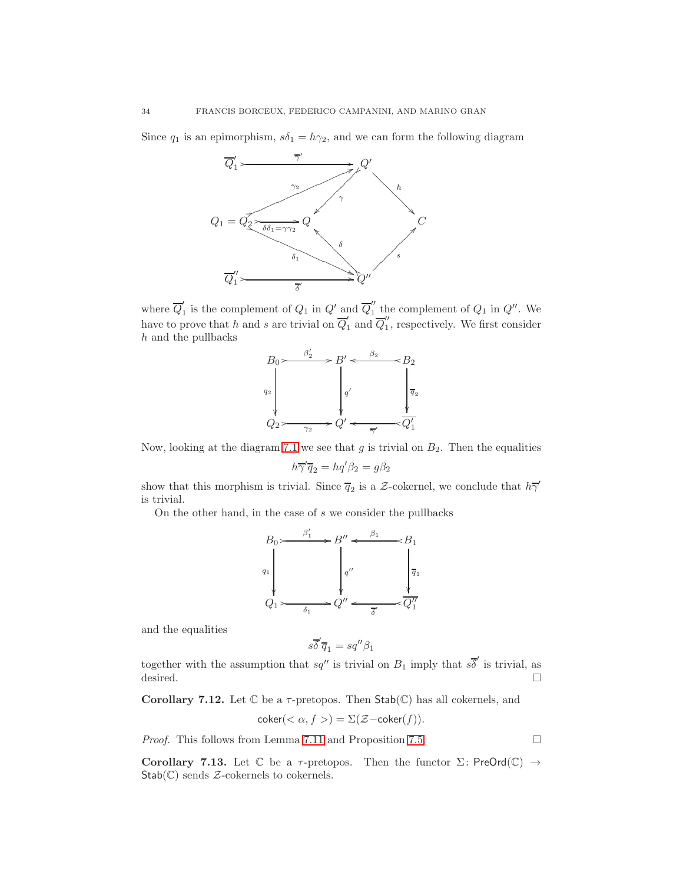Since  $q_1$  is an epimorphism,  $s\delta_1 = h\gamma_2$ , and we can form the following diagram



where  $\overline{Q}'_1$ is the complement of  $Q_1$  in  $Q'$  and  $\overline{Q}_1''$  the complement of  $Q_1$  in  $Q''$ . We ′′ have to prove that h and s are trivial on  $\overline{Q}'_1$  $\frac{1}{1}$  and  $\overline{Q}_1''$  $\frac{1}{1}$ , respectively. We first consider h and the pullbacks

$$
B_0 \rightarrow B_2' \rightarrow B' \leftarrow B_2
$$
  
\n
$$
Q_2 \rightarrow Q' \leftarrow B_2
$$
  
\n
$$
Q_1 \rightarrow Q' \leftarrow Q_1'
$$
  
\n
$$
Q_2 \rightarrow Q' \leftarrow Q_1'
$$

Now, looking at the diagram [7.1](#page-31-0) we see that  $g$  is trivial on  $B_2$ . Then the equalities

$$
h\overline{\gamma}'\overline{q}_2 = hq'\beta_2 = g\beta_2
$$

show that this morphism is trivial. Since  $\overline{q}_2$  is a Z-cokernel, we conclude that  $h\overline{\gamma}$ is trivial.

On the other hand, in the case of s we consider the pullbacks



and the equalities

$$
s\overline{\delta}'\overline{q}_1 = s q''\beta_1
$$

together with the assumption that  $sq''$  is trivial on  $B_1$  imply that  $s\overline{\delta}'$  is trivial, as desired.  $\square$ 

Corollary 7.12. Let  $\mathbb C$  be a  $\tau$ -pretopos. Then  $\mathsf{Stab}(\mathbb C)$  has all cokernels, and

$$
coker(<\alpha, f>) = \Sigma(\mathcal{Z}-coker(f)).
$$

*Proof.* This follows from Lemma [7.11](#page-30-1) and Proposition [7.5.](#page-29-1)  $\Box$ 

<span id="page-33-0"></span>Corollary 7.13. Let  $\mathbb C$  be a  $\tau$ -pretopos. Then the functor  $\Sigma$ : PreOrd $(\mathbb C) \to$  $Stab(\mathbb{C})$  sends  $\mathcal Z$ -cokernels to cokernels.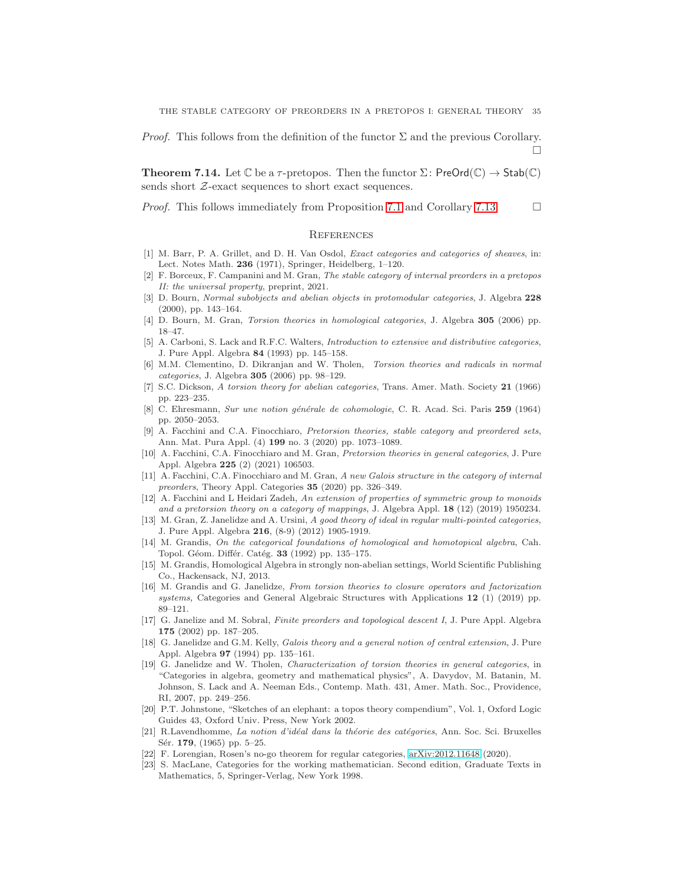*Proof.* This follows from the definition of the functor  $\Sigma$  and the previous Corollary.  $\Box$ 

<span id="page-34-9"></span>**Theorem 7.14.** Let C be a  $\tau$ -pretopos. Then the functor  $\Sigma$ : PreOrd(C)  $\to$  Stab(C) sends short  $Z$ -exact sequences to short exact sequences.

*Proof.* This follows immediately from Proposition [7.1](#page-26-1) and Corollary [7.13.](#page-33-0)  $\Box$ 

#### **REFERENCES**

- <span id="page-34-10"></span>[1] M. Barr, P. A. Grillet, and D. H. Van Osdol, Exact categories and categories of sheaves, in: Lect. Notes Math. 236 (1971), Springer, Heidelberg, 1–120.
- <span id="page-34-20"></span>[2] F. Borceux, F. Campanini and M. Gran, The stable category of internal preorders in a pretopos II: the universal property, preprint, 2021.
- <span id="page-34-22"></span>[3] D. Bourn, Normal subobjects and abelian objects in protomodular categories, J. Algebra 228 (2000), pp. 143–164.
- <span id="page-34-21"></span><span id="page-34-4"></span>[4] D. Bourn, M. Gran, Torsion theories in homological categories, J. Algebra 305 (2006) pp. 18–47.
- [5] A. Carboni, S. Lack and R.F.C. Walters, Introduction to extensive and distributive categories, J. Pure Appl. Algebra 84 (1993) pp. 145–158.
- <span id="page-34-5"></span>[6] M.M. Clementino, D. Dikranjan and W. Tholen, Torsion theories and radicals in normal categories, J. Algebra 305 (2006) pp. 98–129.
- <span id="page-34-3"></span>[7] S.C. Dickson, A torsion theory for abelian categories, Trans. Amer. Math. Society 21 (1966) pp. 223–235.
- <span id="page-34-13"></span>[8] C. Ehresmann, Sur une notion générale de cohomologie, C. R. Acad. Sci. Paris 259 (1964) pp. 2050–2053.
- <span id="page-34-0"></span>[9] A. Facchini and C.A. Finocchiaro, Pretorsion theories, stable category and preordered sets, Ann. Mat. Pura Appl. (4) 199 no. 3 (2020) pp. 1073–1089.
- <span id="page-34-1"></span>[10] A. Facchini, C.A. Finocchiaro and M. Gran, Pretorsion theories in general categories, J. Pure Appl. Algebra 225 (2) (2021) 106503.
- <span id="page-34-2"></span>[11] A. Facchini, C.A. Finocchiaro and M. Gran, A new Galois structure in the category of internal preorders, Theory Appl. Categories 35 (2020) pp. 326–349.
- <span id="page-34-19"></span>[12] A. Facchini and L Heidari Zadeh, An extension of properties of symmetric group to monoids and a pretorsion theory on a category of mappings, J. Algebra Appl. 18 (12) (2019) 1950234.
- <span id="page-34-17"></span>[13] M. Gran, Z. Janelidze and A. Ursini, A good theory of ideal in regular multi-pointed categories, J. Pure Appl. Algebra 216, (8-9) (2012) 1905-1919.
- <span id="page-34-15"></span>[14] M. Grandis, On the categorical foundations of homological and homotopical algebra, Cah. Topol. Géom. Différ. Catég. 33 (1992) pp. 135-175.
- <span id="page-34-16"></span>[15] M. Grandis, Homological Algebra in strongly non-abelian settings, World Scientific Publishing Co., Hackensack, NJ, 2013.
- <span id="page-34-6"></span>[16] M. Grandis and G. Janelidze, From torsion theories to closure operators and factorization systems, Categories and General Algebraic Structures with Applications 12 (1) (2019) pp. 89–121.
- <span id="page-34-11"></span>[17] G. Janelize and M. Sobral, Finite preorders and topological descent I, J. Pure Appl. Algebra 175 (2002) pp. 187–205.
- [18] G. Janelidze and G.M. Kelly, Galois theory and a general notion of central extension, J. Pure Appl. Algebra 97 (1994) pp. 135-161.
- <span id="page-34-7"></span>[19] G. Janelidze and W. Tholen, Characterization of torsion theories in general categories, in "Categories in algebra, geometry and mathematical physics", A. Davydov, M. Batanin, M. Johnson, S. Lack and A. Neeman Eds., Contemp. Math. 431, Amer. Math. Soc., Providence, RI, 2007, pp. 249–256.
- <span id="page-34-8"></span>[20] P.T. Johnstone, "Sketches of an elephant: a topos theory compendium", Vol. 1, Oxford Logic Guides 43, Oxford Univ. Press, New York 2002.
- <span id="page-34-14"></span>[21] R.Lavendhomme, La notion d'idéal dans la théorie des catégories, Ann. Soc. Sci. Bruxelles Sér. 179, (1965) pp. 5–25.
- <span id="page-34-18"></span><span id="page-34-12"></span>[22] F. Lorengian, Rosen's no-go theorem for regular categories, [arXiv:2012.11648](http://arxiv.org/abs/2012.11648) (2020).
- [23] S. MacLane, Categories for the working mathematician. Second edition, Graduate Texts in Mathematics, 5, Springer-Verlag, New York 1998.